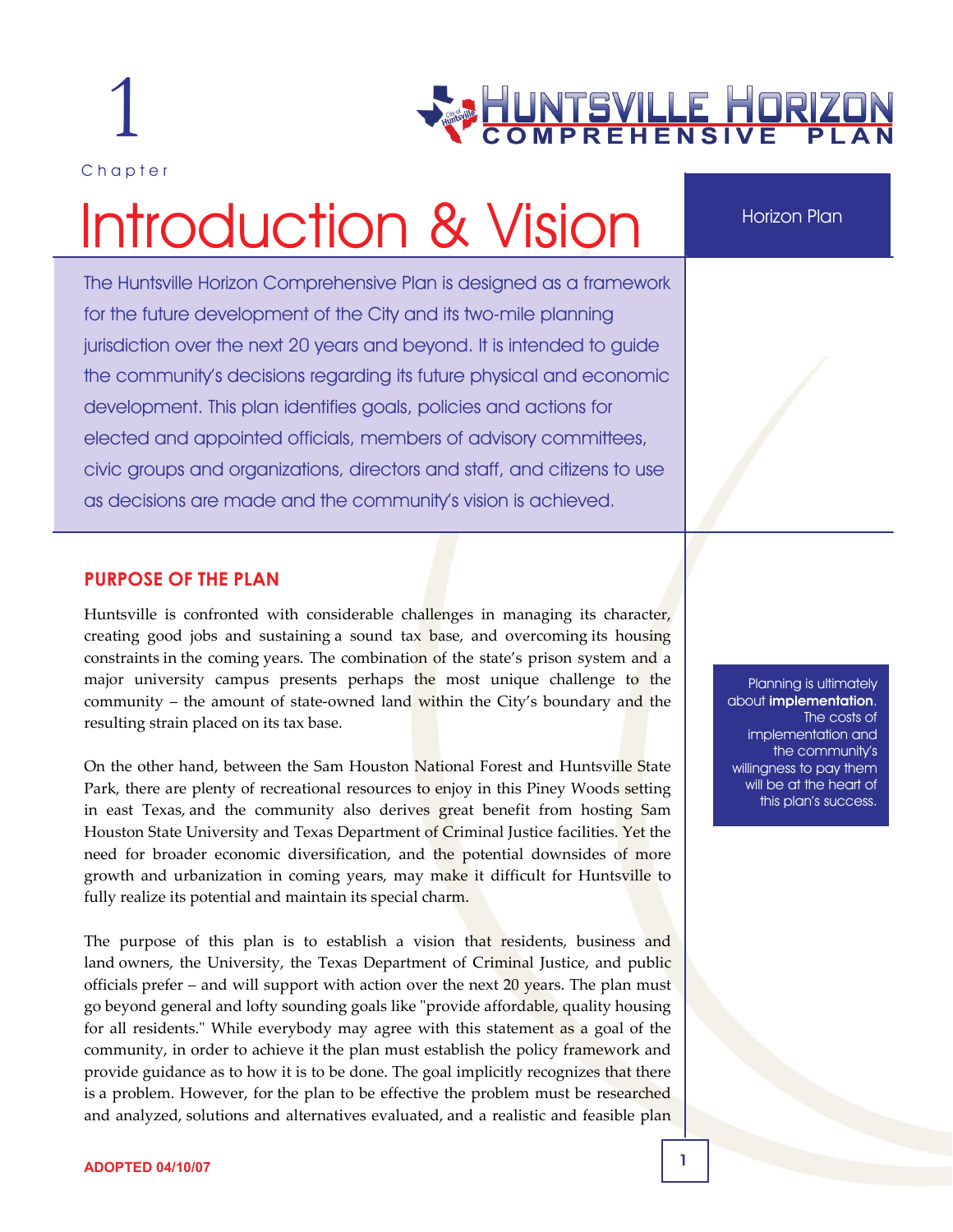1

Chapter

# HUNTSVILLE HORIZO<br>COMPREHENSIVE PL.

# Introduction & Vision

The Huntsville Horizon Comprehensive Plan is designed as a framework for the future development of the City and its two-mile planning jurisdiction over the next 20 years and beyond. It is intended to guide the community's decisions regarding its future physical and economic development. This plan identifies goals, policies and actions for elected and appointed officials, members of advisory committees, civic groups and organizations, directors and staff, and citizens to use as decisions are made and the community's vision is achieved.

Horizon Plan

#### **PURPOSE OF THE PLAN**

Huntsville is confronted with considerable challenges in managing its character, creating good jobs and sustaining a sound tax base, and overcoming its housing constraints in the coming years. The combination of the state's prison system and a major university campus presents perhaps the most unique challenge to the community – the amount of state-owned land within the City's boundary and the resulting strain placed on its tax base.

On the other hand, between the Sam Houston National Forest and Huntsville State Park, there are plenty of recreational resources to enjoy in this Piney Woods setting in east Texas, and the community also derives great benefit from hosting Sam Houston State University and Texas Department of Criminal Justice facilities. Yet the need for broader economic diversification, and the potential downsides of more growth and urbanization in coming years, may make it difficult for Huntsville to fully realize its potential and maintain its special charm.

The purpose of this plan is to establish a vision that residents, business and land owners, the University, the Texas Department of Criminal Justice, and public officials prefer – and will support with action over the next 20 years. The plan must go beyond general and lofty sounding goals like "provide affordable, quality housing for all residents." While everybody may agree with this statement as a goal of the community, in order to achieve it the plan must establish the policy framework and provide guidance as to how it is to be done. The goal implicitly recognizes that there is a problem. However, for the plan to be effective the problem must be researched and analyzed, solutions and alternatives evaluated, and a realistic and feasible plan

Planning is ultimately about implementation. The costs of implementation and the community's willingness to pay them will be at the heart of this plan's success.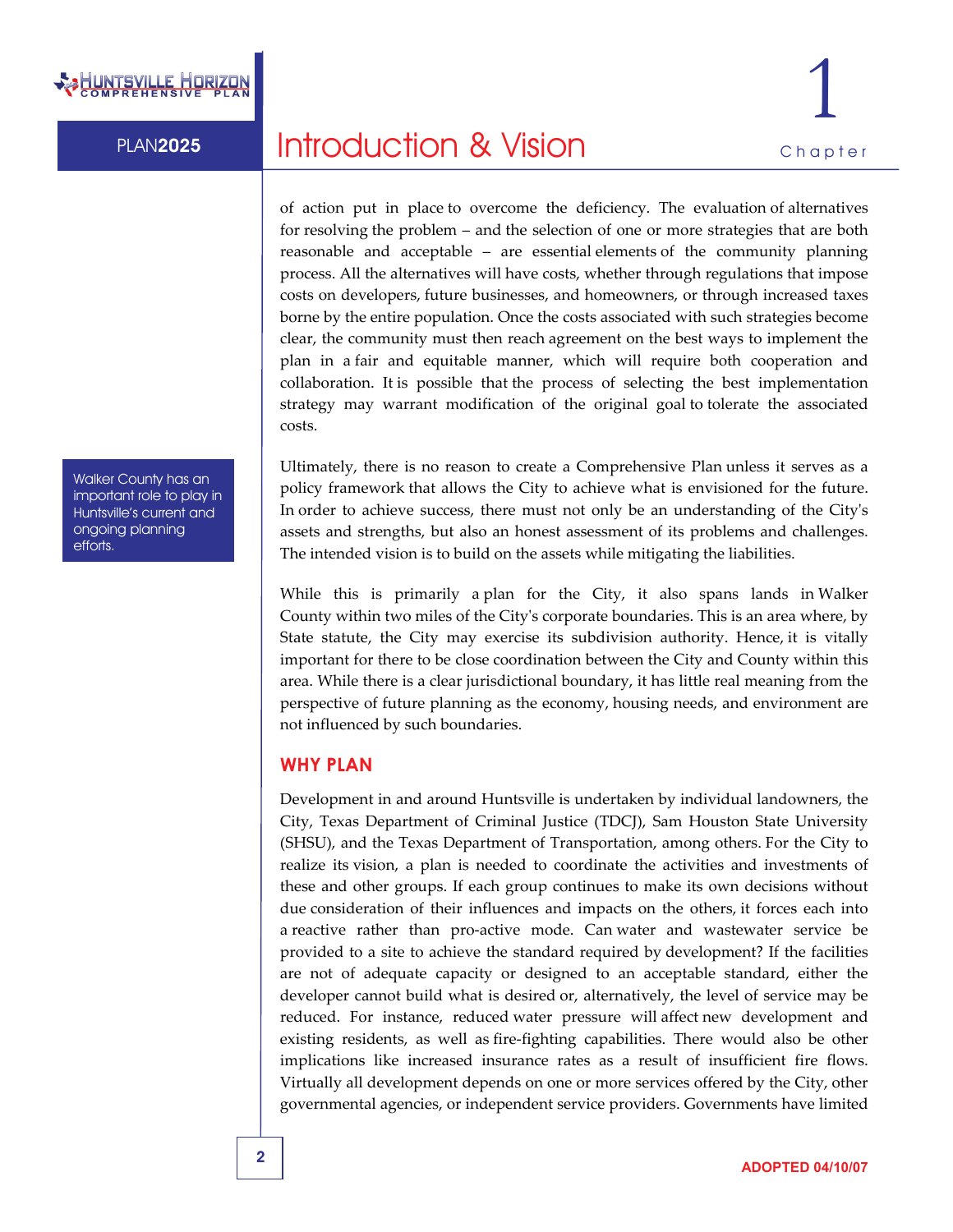

PLAN2025 **Introduction & Vision Chapter** 

of action put in place to overcome the deficiency. The evaluation of alternatives for resolving the problem – and the selection of one or more strategies that are both reasonable and acceptable – are essential elements of the community planning process. All the alternatives will have costs, whether through regulations that impose costs on developers, future businesses, and homeowners, or through increased taxes borne by the entire population. Once the costs associated with such strategies become clear, the community must then reach agreement on the best ways to implement the plan in a fair and equitable manner, which will require both cooperation and collaboration. It is possible that the process of selecting the best implementation strategy may warrant modification of the original goal to tolerate the associated costs.

Ultimately, there is no reason to create a Comprehensive Plan unless it serves as a policy framework that allows the City to achieve what is envisioned for the future. In order to achieve success, there must not only be an understanding of the Cityʹs assets and strengths, but also an honest assessment of its problems and challenges. The intended vision is to build on the assets while mitigating the liabilities.

While this is primarily a plan for the City, it also spans lands in Walker County within two miles of the Cityʹs corporate boundaries. This is an area where, by State statute, the City may exercise its subdivision authority. Hence, it is vitally important for there to be close coordination between the City and County within this area. While there is a clear jurisdictional boundary, it has little real meaning from the perspective of future planning as the economy, housing needs, and environment are not influenced by such boundaries.

#### **WHY PLAN**

Development in and around Huntsville is undertaken by individual landowners, the City, Texas Department of Criminal Justice (TDCJ), Sam Houston State University (SHSU), and the Texas Department of Transportation, among others. For the City to realize its vision, a plan is needed to coordinate the activities and investments of these and other groups. If each group continues to make its own decisions without due consideration of their influences and impacts on the others, it forces each into a reactive rather than pro‐active mode. Can water and wastewater service be provided to a site to achieve the standard required by development? If the facilities are not of adequate capacity or designed to an acceptable standard, either the developer cannot build what is desired or, alternatively, the level of service may be reduced. For instance, reduced water pressure will affect new development and existing residents, as well as fire‐fighting capabilities. There would also be other implications like increased insurance rates as a result of insufficient fire flows. Virtually all development depends on one or more services offered by the City, other governmental agencies, or independent service providers. Governments have limited

Walker County has an important role to play in Huntsville's current and ongoing planning efforts.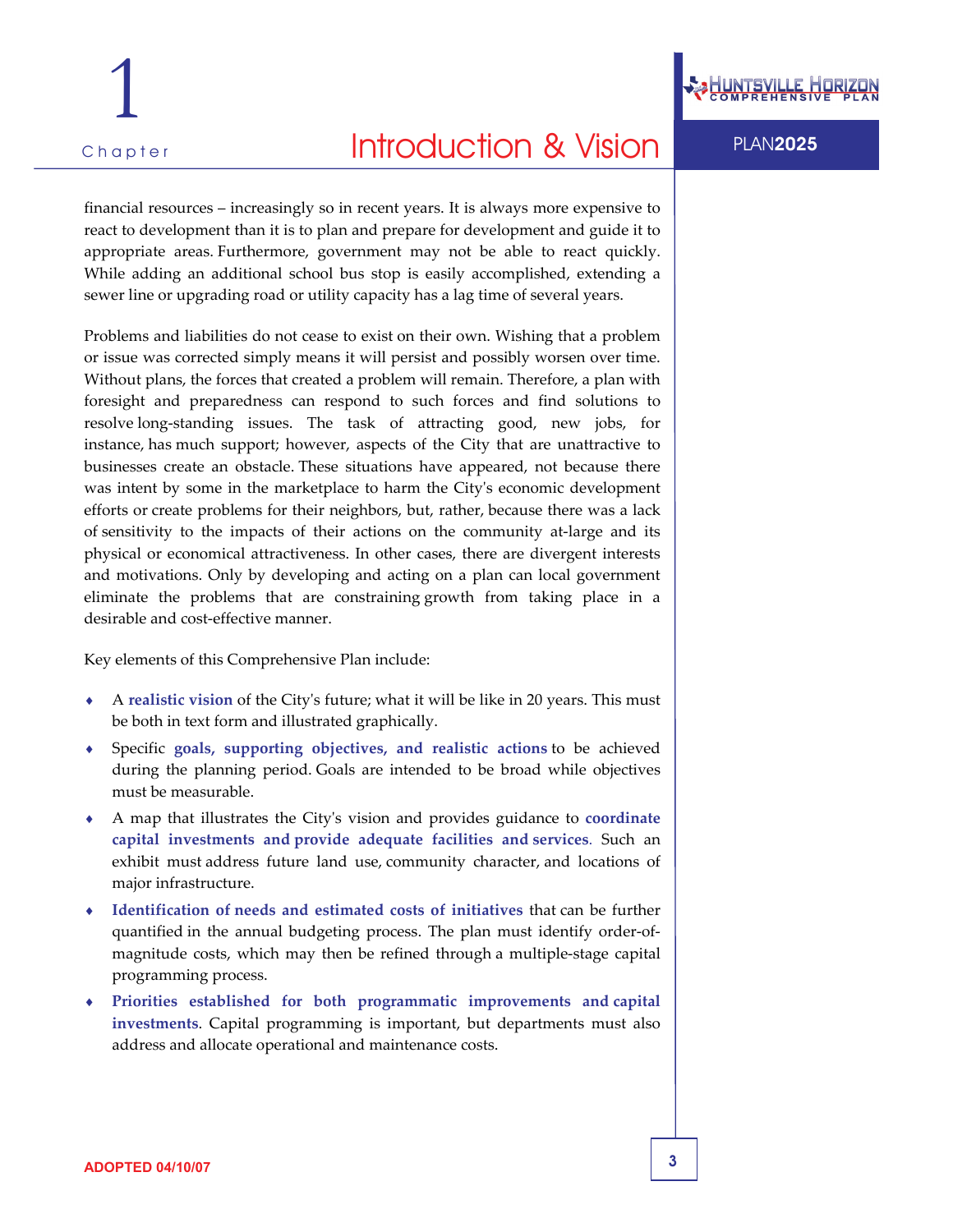## Chapter **PLAN2025 Introduction & Vision** PLAN2025

financial resources – increasingly so in recent years. It is always more expensive to react to development than it is to plan and prepare for development and guide it to appropriate areas. Furthermore, government may not be able to react quickly. While adding an additional school bus stop is easily accomplished, extending a sewer line or upgrading road or utility capacity has a lag time of several years.

Problems and liabilities do not cease to exist on their own. Wishing that a problem or issue was corrected simply means it will persist and possibly worsen over time. Without plans, the forces that created a problem will remain. Therefore, a plan with foresight and preparedness can respond to such forces and find solutions to resolve long‐standing issues. The task of attracting good, new jobs, for instance, has much support; however, aspects of the City that are unattractive to businesses create an obstacle. These situations have appeared, not because there was intent by some in the marketplace to harm the Cityʹs economic development efforts or create problems for their neighbors, but, rather, because there was a lack of sensitivity to the impacts of their actions on the community at‐large and its physical or economical attractiveness. In other cases, there are divergent interests and motivations. Only by developing and acting on a plan can local government eliminate the problems that are constraining growth from taking place in a desirable and cost‐effective manner.

Key elements of this Comprehensive Plan include:

- ♦ A **realistic vision** of the Cityʹs future; what it will be like in 20 years. This must be both in text form and illustrated graphically.
- ♦ Specific **goals, supporting objectives, and realistic actions** to be achieved during the planning period. Goals are intended to be broad while objectives must be measurable.
- ♦ A map that illustrates the Cityʹs vision and provides guidance to **coordinate capital investments and provide adequate facilities and services**. Such an exhibit must address future land use, community character, and locations of major infrastructure.
- ♦ **Identification of needs and estimated costs of initiatives** that can be further quantified in the annual budgeting process. The plan must identify order‐of‐ magnitude costs, which may then be refined through a multiple‐stage capital programming process.
- ♦ **Priorities established for both programmatic improvements and capital investments**. Capital programming is important, but departments must also address and allocate operational and maintenance costs.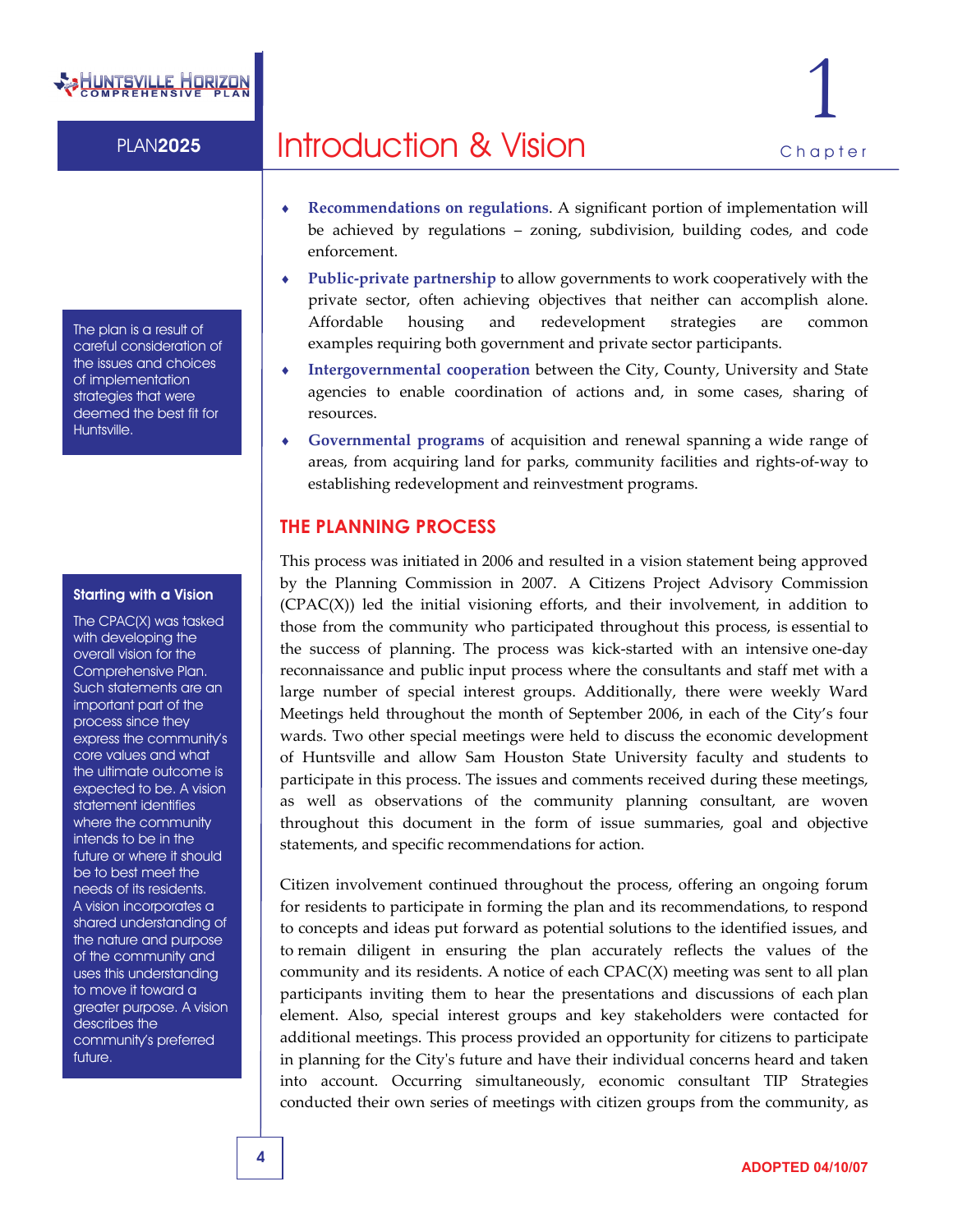# rsville Horiz

PLAN2025 **Introduction & Vision Chapter** 1

The plan is a result of careful consideration of the issues and choices of implementation strategies that were deemed the best fit for Huntsville.

#### Starting with a Vision

The CPAC(X) was tasked with developing the overall vision for the Comprehensive Plan. Such statements are an important part of the process since they express the community's core values and what the ultimate outcome is expected to be. A vision statement identifies where the community intends to be in the future or where it should be to best meet the needs of its residents. A vision incorporates a shared understanding of the nature and purpose of the community and uses this understanding to move it toward a greater purpose. A vision describes the community's preferred future.

- ♦ **Recommendations on regulations**. A significant portion of implementation will be achieved by regulations – zoning, subdivision, building codes, and code
- enforcement. ♦ **Public‐private partnership** to allow governments to work cooperatively with the private sector, often achieving objectives that neither can accomplish alone. Affordable housing and redevelopment strategies are common examples requiring both government and private sector participants.
- ♦ **Intergovernmental cooperation** between the City, County, University and State agencies to enable coordination of actions and, in some cases, sharing of resources.
- ♦ **Governmental programs** of acquisition and renewal spanning a wide range of areas, from acquiring land for parks, community facilities and rights‐of‐way to establishing redevelopment and reinvestment programs.

#### **THE PLANNING PROCESS**

This process was initiated in 2006 and resulted in a vision statement being approved by the Planning Commission in 2007. A Citizens Project Advisory Commission (CPAC(X)) led the initial visioning efforts, and their involvement, in addition to those from the community who participated throughout this process, is essential to the success of planning. The process was kick-started with an intensive one-day reconnaissance and public input process where the consultants and staff met with a large number of special interest groups. Additionally, there were weekly Ward Meetings held throughout the month of September 2006, in each of the City's four wards. Two other special meetings were held to discuss the economic development of Huntsville and allow Sam Houston State University faculty and students to participate in this process. The issues and comments received during these meetings, as well as observations of the community planning consultant, are woven throughout this document in the form of issue summaries, goal and objective statements, and specific recommendations for action.

Citizen involvement continued throughout the process, offering an ongoing forum for residents to participate in forming the plan and its recommendations, to respond to concepts and ideas put forward as potential solutions to the identified issues, and to remain diligent in ensuring the plan accurately reflects the values of the community and its residents. A notice of each  $CPAC(X)$  meeting was sent to all plan participants inviting them to hear the presentations and discussions of each plan element. Also, special interest groups and key stakeholders were contacted for additional meetings. This process provided an opportunity for citizens to participate in planning for the Cityʹs future and have their individual concerns heard and taken into account. Occurring simultaneously, economic consultant TIP Strategies conducted their own series of meetings with citizen groups from the community, as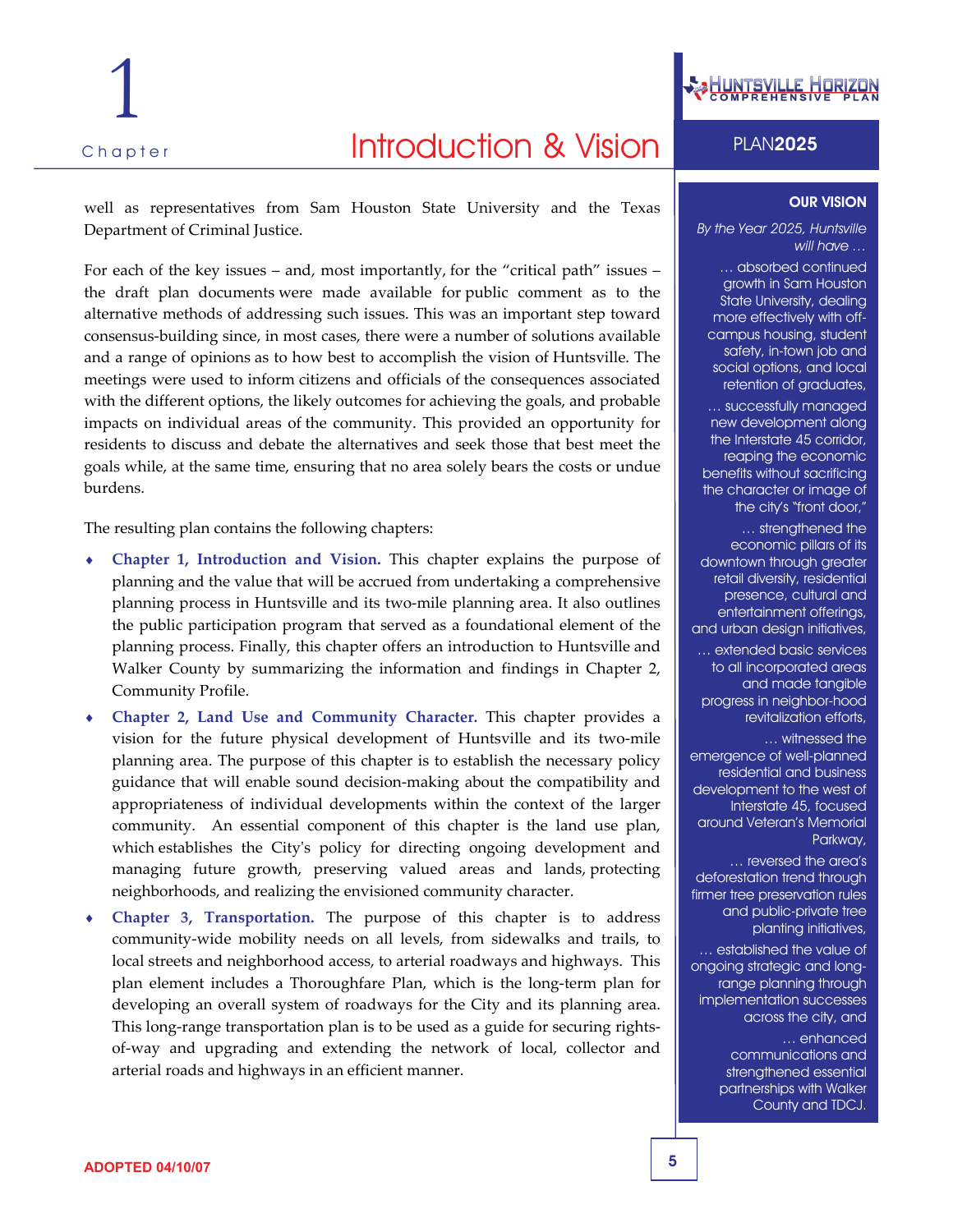# Chapter **Introduction & Vision** PLAN2025

1

well as representatives from Sam Houston State University and the Texas Department of Criminal Justice.

For each of the key issues – and, most importantly, for the "critical path" issues – the draft plan documents were made available for public comment as to the alternative methods of addressing such issues. This was an important step toward consensus‐building since, in most cases, there were a number of solutions available and a range of opinions as to how best to accomplish the vision of Huntsville. The meetings were used to inform citizens and officials of the consequences associated with the different options, the likely outcomes for achieving the goals, and probable impacts on individual areas of the community. This provided an opportunity for residents to discuss and debate the alternatives and seek those that best meet the goals while, at the same time, ensuring that no area solely bears the costs or undue burdens.

The resulting plan contains the following chapters:

- ♦ **Chapter 1, Introduction and Vision.** This chapter explains the purpose of planning and the value that will be accrued from undertaking a comprehensive planning process in Huntsville and its two‐mile planning area. It also outlines the public participation program that served as a foundational element of the planning process. Finally, this chapter offers an introduction to Huntsville and Walker County by summarizing the information and findings in Chapter 2, Community Profile.
- ♦ **Chapter 2, Land Use and Community Character.** This chapter provides a vision for the future physical development of Huntsville and its two‐mile planning area. The purpose of this chapter is to establish the necessary policy guidance that will enable sound decision‐making about the compatibility and appropriateness of individual developments within the context of the larger community. An essential component of this chapter is the land use plan, which establishes the City's policy for directing ongoing development and managing future growth, preserving valued areas and lands, protecting neighborhoods, and realizing the envisioned community character.
- **Chapter 3, Transportation.** The purpose of this chapter is to address community‐wide mobility needs on all levels, from sidewalks and trails, to local streets and neighborhood access, to arterial roadways and highways. This plan element includes a Thoroughfare Plan, which is the long-term plan for developing an overall system of roadways for the City and its planning area. This long-range transportation plan is to be used as a guide for securing rightsof‐way and upgrading and extending the network of local, collector and arterial roads and highways in an efficient manner.



#### OUR VISION

*By the Year 2025, Huntsville will have …* 

… absorbed continued growth in Sam Houston State University, dealing more effectively with offcampus housing, student safety, in-town job and social options, and local retention of graduates,

… successfully managed new development along the Interstate 45 corridor, reaping the economic benefits without sacrificing the character or image of the city's "front door,"

... strengthened the economic pillars of its downtown through greater retail diversity, residential presence, cultural and entertainment offerings, and urban design initiatives,

… extended basic services to all incorporated areas and made tangible progress in neighbor-hood revitalization efforts,

… witnessed the emergence of well-planned residential and business development to the west of Interstate 45, focused around Veteran's Memorial Parkway,

… reversed the area's deforestation trend through firmer tree preservation rules and public-private tree planting initiatives,

… established the value of ongoing strategic and longrange planning through implementation successes across the city, and … enhanced

communications and strengthened essential partnerships with Walker County and TDCJ.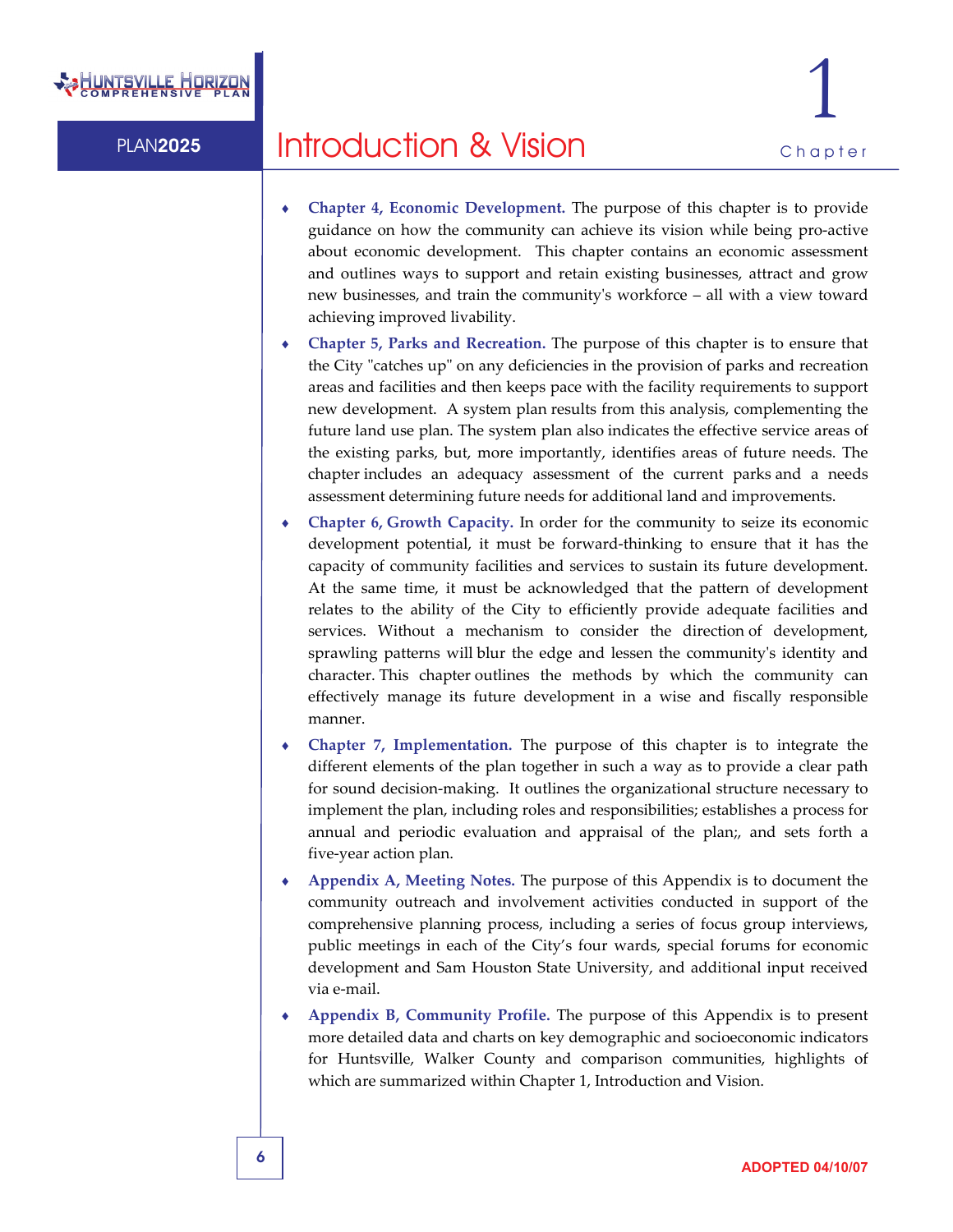

- ♦ **Chapter 4, Economic Development.** The purpose of this chapter is to provide guidance on how the community can achieve its vision while being pro‐active about economic development. This chapter contains an economic assessment and outlines ways to support and retain existing businesses, attract and grow new businesses, and train the communityʹs workforce – all with a view toward achieving improved livability.
- ♦ **Chapter 5, Parks and Recreation.** The purpose of this chapter is to ensure that the City "catches up" on any deficiencies in the provision of parks and recreation areas and facilities and then keeps pace with the facility requirements to support new development. A system plan results from this analysis, complementing the future land use plan. The system plan also indicates the effective service areas of the existing parks, but, more importantly, identifies areas of future needs. The chapter includes an adequacy assessment of the current parks and a needs assessment determining future needs for additional land and improvements.
- ♦ **Chapter 6, Growth Capacity.** In order for the community to seize its economic development potential, it must be forward‐thinking to ensure that it has the capacity of community facilities and services to sustain its future development. At the same time, it must be acknowledged that the pattern of development relates to the ability of the City to efficiently provide adequate facilities and services. Without a mechanism to consider the direction of development, sprawling patterns will blur the edge and lessen the communityʹs identity and character. This chapter outlines the methods by which the community can effectively manage its future development in a wise and fiscally responsible manner.
- ♦ **Chapter 7, Implementation.** The purpose of this chapter is to integrate the different elements of the plan together in such a way as to provide a clear path for sound decision‐making. It outlines the organizational structure necessary to implement the plan, including roles and responsibilities; establishes a process for annual and periodic evaluation and appraisal of the plan;, and sets forth a five‐year action plan.
- ♦ **Appendix A, Meeting Notes.** The purpose of this Appendix is to document the community outreach and involvement activities conducted in support of the comprehensive planning process, including a series of focus group interviews, public meetings in each of the City's four wards, special forums for economic development and Sam Houston State University, and additional input received via e‐mail.
- ♦ **Appendix B, Community Profile.** The purpose of this Appendix is to present more detailed data and charts on key demographic and socioeconomic indicators for Huntsville, Walker County and comparison communities, highlights of which are summarized within Chapter 1, Introduction and Vision.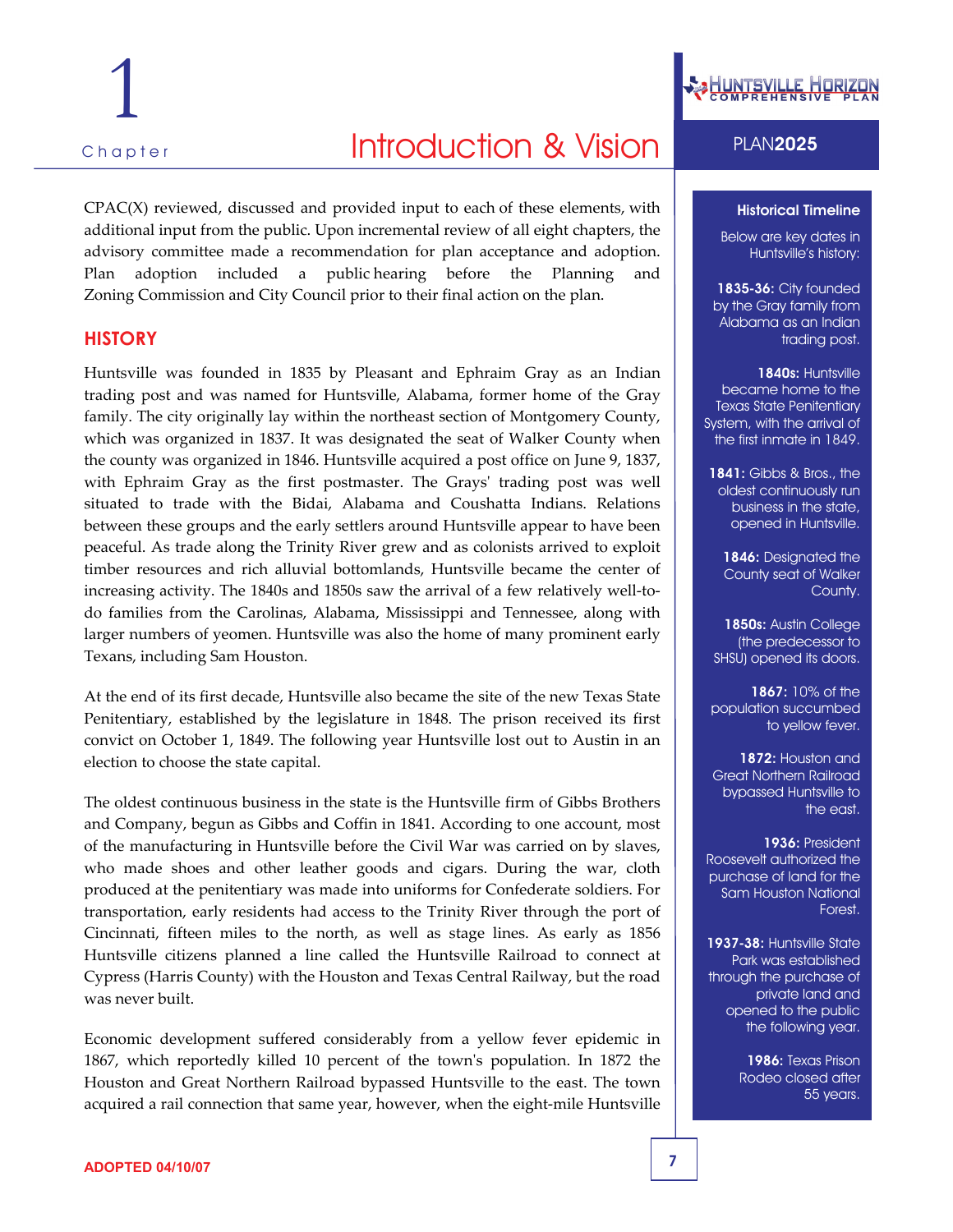# 1

## Chapter **PLAN2025 Introduction & Vision** PLAN2025

 $CPAC(X)$  reviewed, discussed and provided input to each of these elements, with additional input from the public. Upon incremental review of all eight chapters, the advisory committee made a recommendation for plan acceptance and adoption. Plan adoption included a public hearing before the Planning and Zoning Commission and City Council prior to their final action on the plan.

#### **HISTORY**

Huntsville was founded in 1835 by Pleasant and Ephraim Gray as an Indian trading post and was named for Huntsville, Alabama, former home of the Gray family. The city originally lay within the northeast section of Montgomery County, which was organized in 1837. It was designated the seat of Walker County when the county was organized in 1846. Huntsville acquired a post office on June 9, 1837, with Ephraim Gray as the first postmaster. The Grays' trading post was well situated to trade with the Bidai, Alabama and Coushatta Indians. Relations between these groups and the early settlers around Huntsville appear to have been peaceful. As trade along the Trinity River grew and as colonists arrived to exploit timber resources and rich alluvial bottomlands, Huntsville became the center of increasing activity. The 1840s and 1850s saw the arrival of a few relatively well-todo families from the Carolinas, Alabama, Mississippi and Tennessee, along with larger numbers of yeomen. Huntsville was also the home of many prominent early Texans, including Sam Houston.

At the end of its first decade, Huntsville also became the site of the new Texas State Penitentiary, established by the legislature in 1848. The prison received its first convict on October 1, 1849. The following year Huntsville lost out to Austin in an election to choose the state capital.

The oldest continuous business in the state is the Huntsville firm of Gibbs Brothers and Company, begun as Gibbs and Coffin in 1841. According to one account, most of the manufacturing in Huntsville before the Civil War was carried on by slaves, who made shoes and other leather goods and cigars. During the war, cloth produced at the penitentiary was made into uniforms for Confederate soldiers. For transportation, early residents had access to the Trinity River through the port of Cincinnati, fifteen miles to the north, as well as stage lines. As early as 1856 Huntsville citizens planned a line called the Huntsville Railroad to connect at Cypress (Harris County) with the Houston and Texas Central Railway, but the road was never built.

Economic development suffered considerably from a yellow fever epidemic in 1867, which reportedly killed 10 percent of the townʹs population. In 1872 the Houston and Great Northern Railroad bypassed Huntsville to the east. The town acquired a rail connection that same year, however, when the eight‐mile Huntsville



#### Historical Timeline

Below are key dates in Huntsville's history:

1835-36: City founded by the Gray family from Alabama as an Indian trading post.

1840s: Huntsville became home to the Texas State Penitentiary System, with the arrival of the first inmate in 1849.

1841: Gibbs & Bros., the oldest continuously run business in the state, opened in Huntsville.

1846: Designated the County seat of Walker County.

1850s: Austin College (the predecessor to SHSU) opened its doors.

1867: 10% of the population succumbed to yellow fever.

1872: Houston and Great Northern Railroad bypassed Huntsville to the east.

1936: President Roosevelt authorized the purchase of land for the Sam Houston National Forest.

1937-38: Huntsville State Park was established through the purchase of private land and opened to the public the following year.

> 1986: Texas Prison Rodeo closed after 55 years.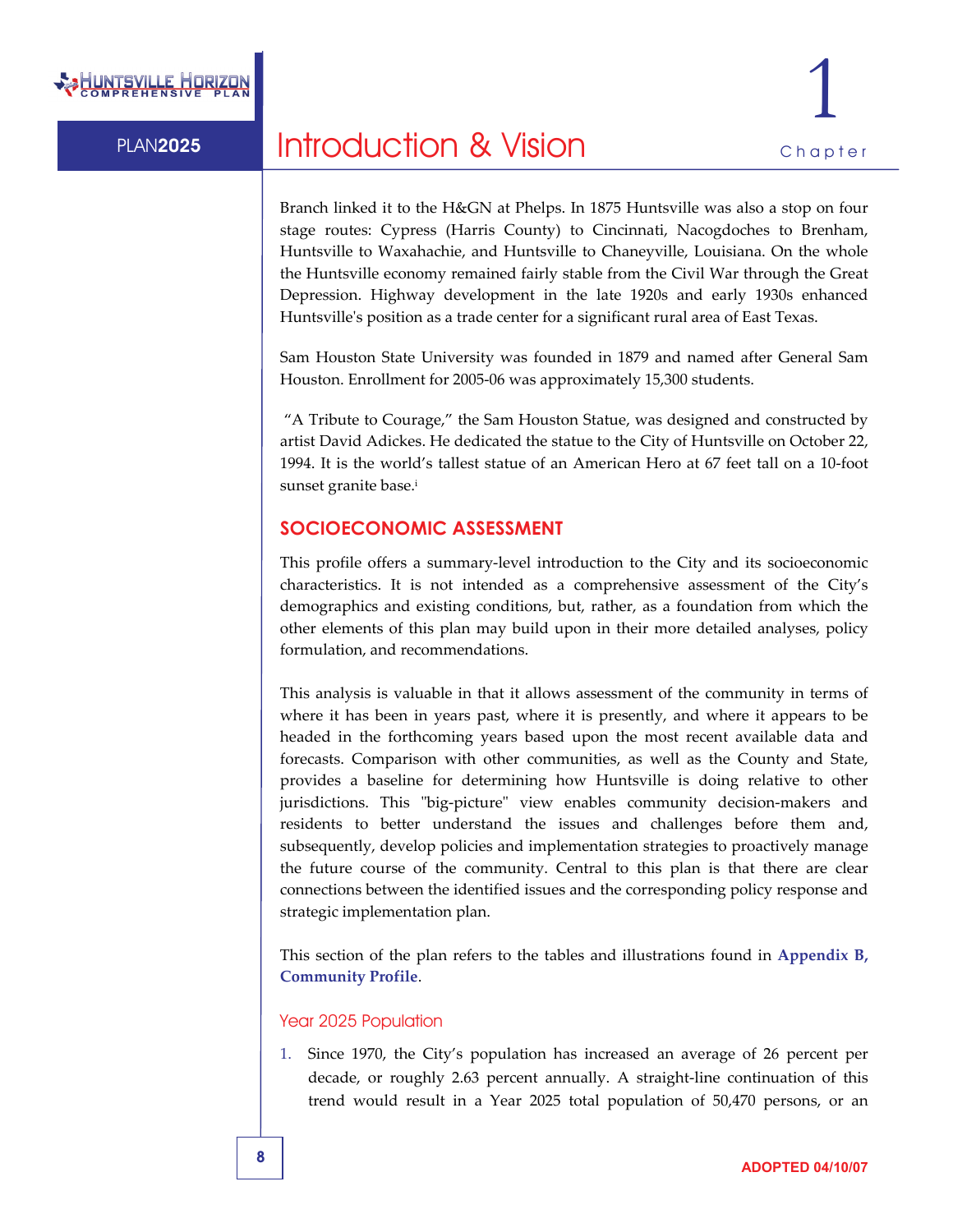

Branch linked it to the H&GN at Phelps. In 1875 Huntsville was also a stop on four stage routes: Cypress (Harris County) to Cincinnati, Nacogdoches to Brenham, Huntsville to Waxahachie, and Huntsville to Chaneyville, Louisiana. On the whole the Huntsville economy remained fairly stable from the Civil War through the Great Depression. Highway development in the late 1920s and early 1930s enhanced Huntsville's position as a trade center for a significant rural area of East Texas.

Sam Houston State University was founded in 1879 and named after General Sam Houston. Enrollment for 2005‐06 was approximately 15,300 students.

"A Tribute to Courage," the Sam Houston Statue, was designed and constructed by artist David Adickes. He dedicated the statue to the City of Huntsville on October 22, 1994. It is the world's tallest statue of an American Hero at 67 feet tall on a 10‐foot sunset granite base.i

#### **SOCIOECONOMIC ASSESSMENT**

This profile offers a summary‐level introduction to the City and its socioeconomic characteristics. It is not intended as a comprehensive assessment of the City's demographics and existing conditions, but, rather, as a foundation from which the other elements of this plan may build upon in their more detailed analyses, policy formulation, and recommendations.

This analysis is valuable in that it allows assessment of the community in terms of where it has been in years past, where it is presently, and where it appears to be headed in the forthcoming years based upon the most recent available data and forecasts. Comparison with other communities, as well as the County and State, provides a baseline for determining how Huntsville is doing relative to other jurisdictions. This "big-picture" view enables community decision-makers and residents to better understand the issues and challenges before them and, subsequently, develop policies and implementation strategies to proactively manage the future course of the community. Central to this plan is that there are clear connections between the identified issues and the corresponding policy response and strategic implementation plan.

This section of the plan refers to the tables and illustrations found in **Appendix B, Community Profile**.

#### Year 2025 Population

1. Since 1970, the City's population has increased an average of 26 percent per decade, or roughly 2.63 percent annually. A straight‐line continuation of this trend would result in a Year 2025 total population of 50,470 persons, or an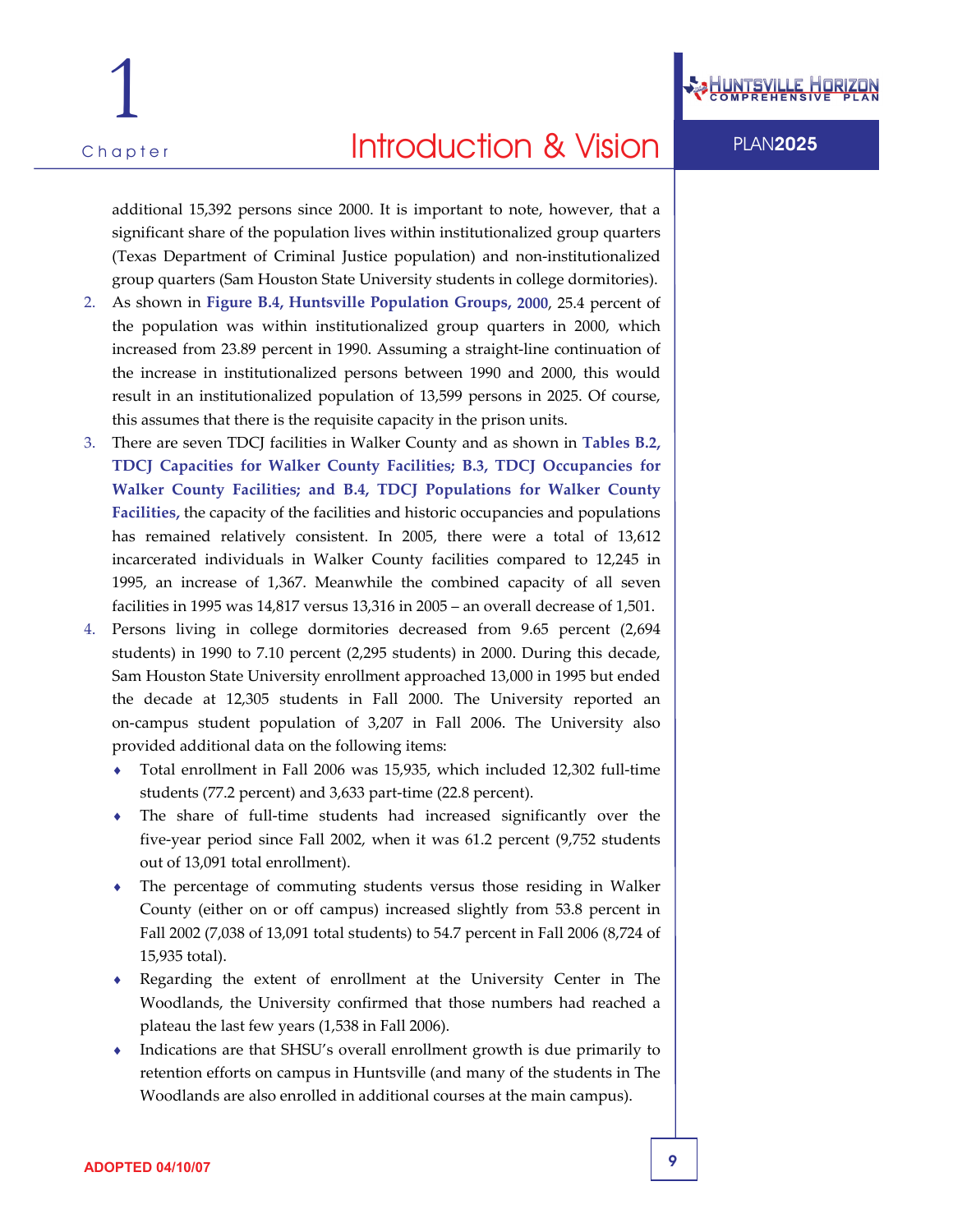

additional 15,392 persons since 2000. It is important to note, however, that a significant share of the population lives within institutionalized group quarters (Texas Department of Criminal Justice population) and non‐institutionalized group quarters (Sam Houston State University students in college dormitories).

- 2. As shown in **Figure B.4, Huntsville Population Groups, 2000**, 25.4 percent of the population was within institutionalized group quarters in 2000, which increased from 23.89 percent in 1990. Assuming a straight‐line continuation of the increase in institutionalized persons between 1990 and 2000, this would result in an institutionalized population of 13,599 persons in 2025. Of course, this assumes that there is the requisite capacity in the prison units.
- 3. There are seven TDCJ facilities in Walker County and as shown in **Tables B.2, TDCJ Capacities for Walker County Facilities; B.3, TDCJ Occupancies for Walker County Facilities; and B.4, TDCJ Populations for Walker County Facilities,** the capacity of the facilities and historic occupancies and populations has remained relatively consistent. In 2005, there were a total of 13,612 incarcerated individuals in Walker County facilities compared to 12,245 in 1995, an increase of 1,367. Meanwhile the combined capacity of all seven facilities in 1995 was 14,817 versus 13,316 in 2005 – an overall decrease of 1,501.
- 4. Persons living in college dormitories decreased from 9.65 percent (2,694 students) in 1990 to 7.10 percent (2,295 students) in 2000. During this decade, Sam Houston State University enrollment approached 13,000 in 1995 but ended the decade at 12,305 students in Fall 2000. The University reported an on‐campus student population of 3,207 in Fall 2006. The University also provided additional data on the following items:
	- Total enrollment in Fall 2006 was 15,935, which included 12,302 full-time students (77.2 percent) and 3,633 part‐time (22.8 percent).
	- The share of full-time students had increased significantly over the five‐year period since Fall 2002, when it was 61.2 percent (9,752 students out of 13,091 total enrollment).
	- The percentage of commuting students versus those residing in Walker County (either on or off campus) increased slightly from 53.8 percent in Fall 2002 (7,038 of 13,091 total students) to 54.7 percent in Fall 2006 (8,724 of 15,935 total).
	- ♦ Regarding the extent of enrollment at the University Center in The Woodlands, the University confirmed that those numbers had reached a plateau the last few years (1,538 in Fall 2006).
	- Indications are that SHSU's overall enrollment growth is due primarily to retention efforts on campus in Huntsville (and many of the students in The Woodlands are also enrolled in additional courses at the main campus).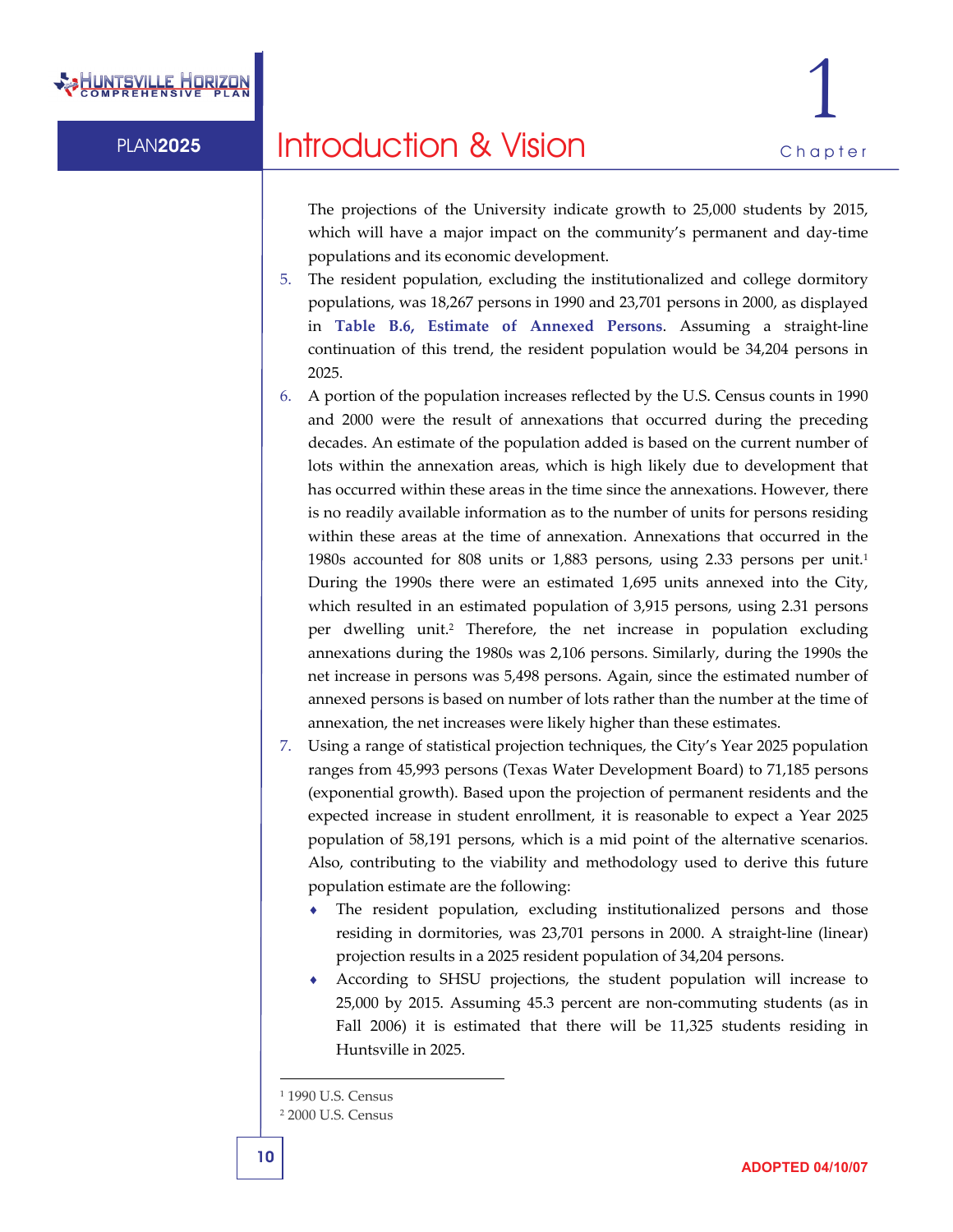

The projections of the University indicate growth to 25,000 students by 2015, which will have a major impact on the community's permanent and day‐time populations and its economic development.

- 5. The resident population, excluding the institutionalized and college dormitory populations, was 18,267 persons in 1990 and 23,701 persons in 2000, as displayed in **Table B.6, Estimate of Annexed Persons**. Assuming a straight‐line continuation of this trend, the resident population would be 34,204 persons in 2025.
- 6. A portion of the population increases reflected by the U.S. Census counts in 1990 and 2000 were the result of annexations that occurred during the preceding decades. An estimate of the population added is based on the current number of lots within the annexation areas, which is high likely due to development that has occurred within these areas in the time since the annexations. However, there is no readily available information as to the number of units for persons residing within these areas at the time of annexation. Annexations that occurred in the 1980s accounted for 808 units or 1,883 persons, using 2.33 persons per unit.1 During the 1990s there were an estimated 1,695 units annexed into the City, which resulted in an estimated population of 3,915 persons, using 2.31 persons per dwelling unit.2 Therefore, the net increase in population excluding annexations during the 1980s was 2,106 persons. Similarly, during the 1990s the net increase in persons was 5,498 persons. Again, since the estimated number of annexed persons is based on number of lots rather than the number at the time of annexation, the net increases were likely higher than these estimates.
- 7. Using a range of statistical projection techniques, the City's Year 2025 population ranges from 45,993 persons (Texas Water Development Board) to 71,185 persons (exponential growth). Based upon the projection of permanent residents and the expected increase in student enrollment, it is reasonable to expect a Year 2025 population of 58,191 persons, which is a mid point of the alternative scenarios. Also, contributing to the viability and methodology used to derive this future population estimate are the following:
	- ♦ The resident population, excluding institutionalized persons and those residing in dormitories, was 23,701 persons in 2000. A straight‐line (linear) projection results in a 2025 resident population of 34,204 persons.
	- According to SHSU projections, the student population will increase to 25,000 by 2015. Assuming 45.3 percent are non‐commuting students (as in Fall 2006) it is estimated that there will be 11,325 students residing in Huntsville in 2025.

I

 $\overline{a}$ 

<sup>&</sup>lt;sup>1</sup> 1990 U.S. Census

<sup>2</sup> 2000 U.S. Census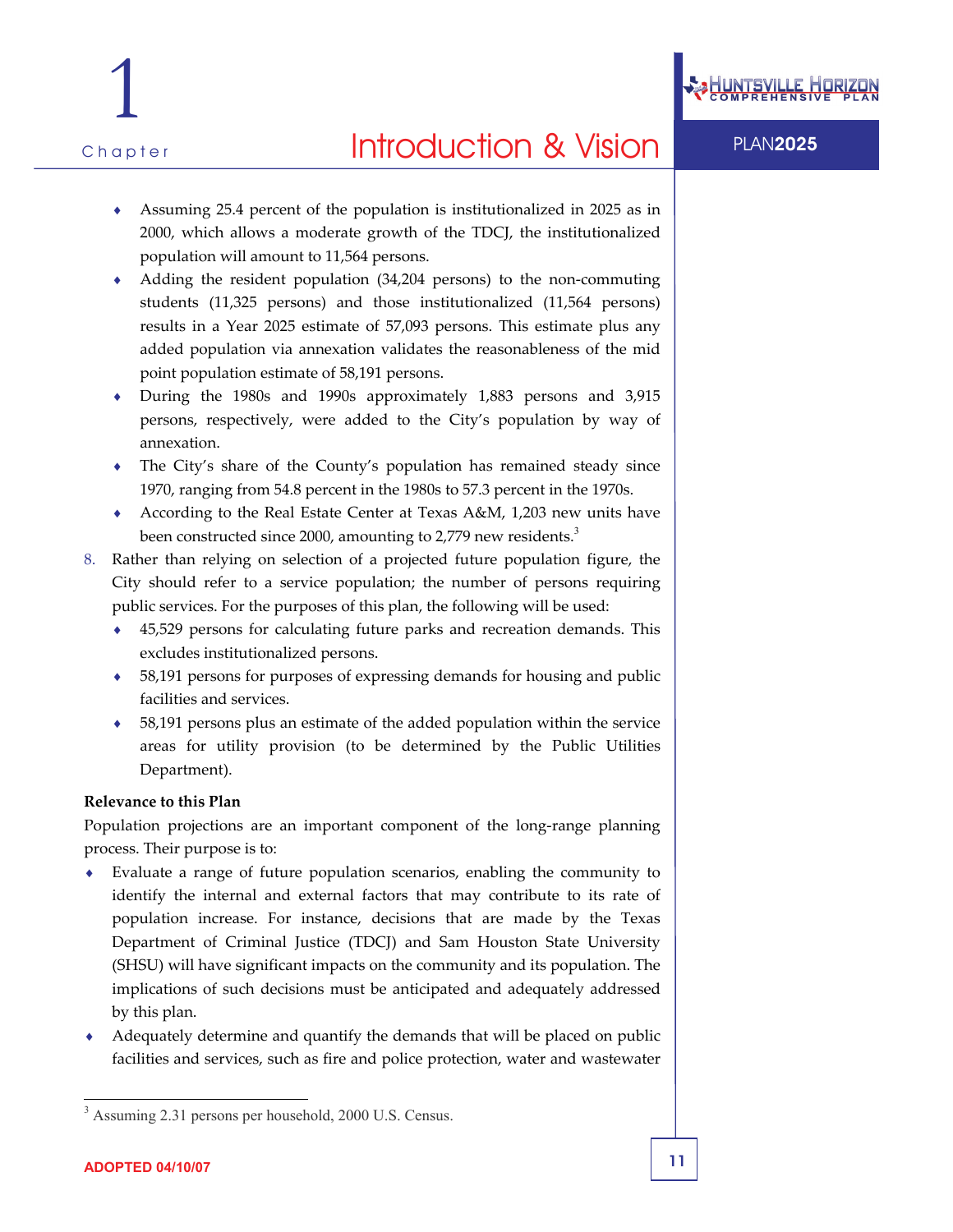

Assuming 25.4 percent of the population is institutionalized in 2025 as in 2000, which allows a moderate growth of the TDCJ, the institutionalized population will amount to 11,564 persons.

- ◆ Adding the resident population (34,204 persons) to the non-commuting students (11,325 persons) and those institutionalized (11,564 persons) results in a Year 2025 estimate of 57,093 persons. This estimate plus any added population via annexation validates the reasonableness of the mid point population estimate of 58,191 persons.
- During the 1980s and 1990s approximately 1,883 persons and 3,915 persons, respectively, were added to the City's population by way of annexation.
- The City's share of the County's population has remained steady since 1970, ranging from 54.8 percent in the 1980s to 57.3 percent in the 1970s.
- ♦ According to the Real Estate Center at Texas A&M, 1,203 new units have been constructed since 2000, amounting to 2,779 new residents.<sup>3</sup>
- 8. Rather than relying on selection of a projected future population figure, the City should refer to a service population; the number of persons requiring public services. For the purposes of this plan, the following will be used:
	- ♦ 45,529 persons for calculating future parks and recreation demands. This excludes institutionalized persons.
	- ♦ 58,191 persons for purposes of expressing demands for housing and public facilities and services.
	- ♦ 58,191 persons plus an estimate of the added population within the service areas for utility provision (to be determined by the Public Utilities Department).

#### **Relevance to this Plan**

Population projections are an important component of the long‐range planning process. Their purpose is to:

- Evaluate a range of future population scenarios, enabling the community to identify the internal and external factors that may contribute to its rate of population increase. For instance, decisions that are made by the Texas Department of Criminal Justice (TDCJ) and Sam Houston State University (SHSU) will have significant impacts on the community and its population. The implications of such decisions must be anticipated and adequately addressed by this plan.
- Adequately determine and quantify the demands that will be placed on public facilities and services, such as fire and police protection, water and wastewater

<sup>-</sup>3 Assuming 2.31 persons per household, 2000 U.S. Census.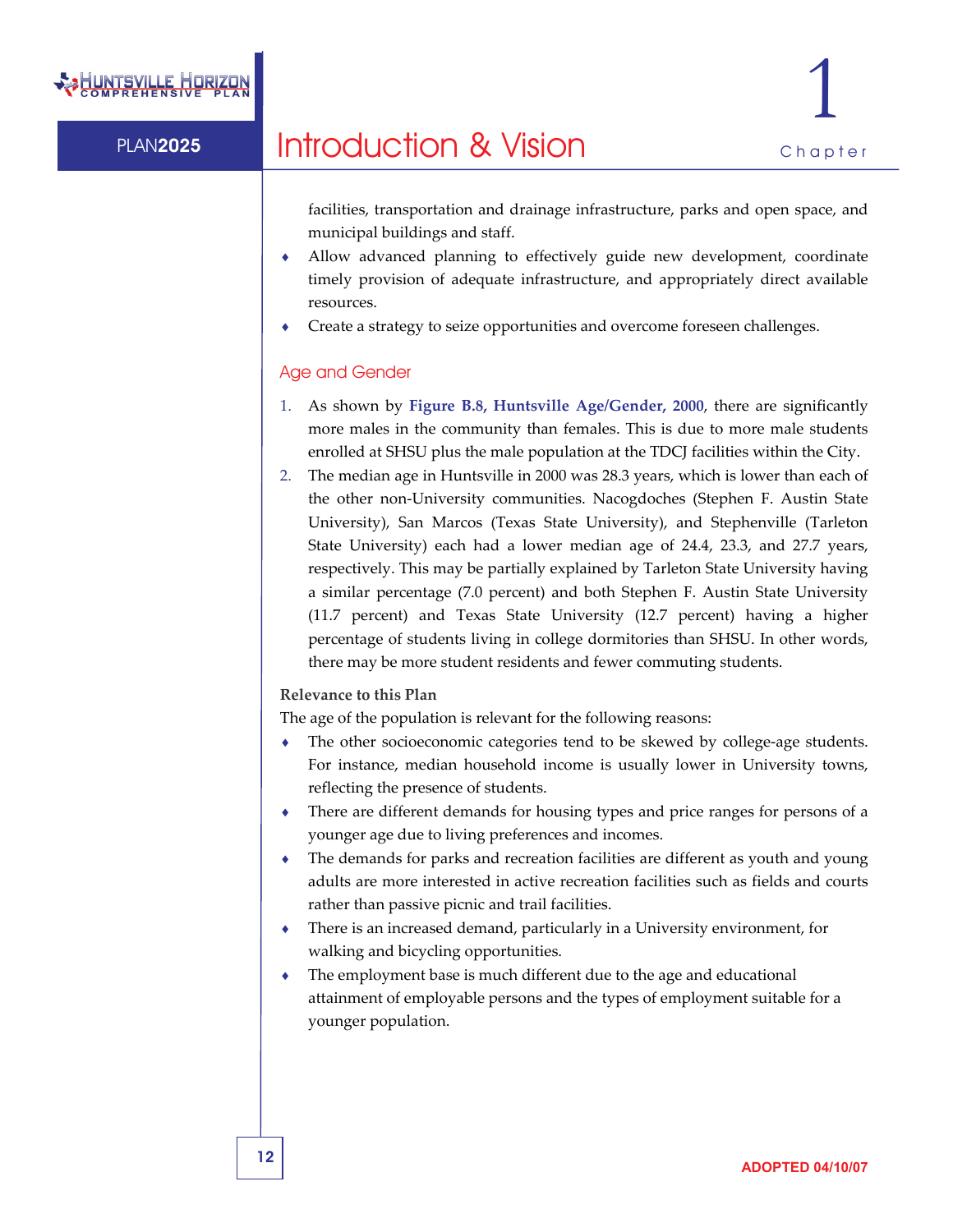

facilities, transportation and drainage infrastructure, parks and open space, and municipal buildings and staff.

- Allow advanced planning to effectively guide new development, coordinate timely provision of adequate infrastructure, and appropriately direct available resources.
- Create a strategy to seize opportunities and overcome foreseen challenges.

#### Age and Gender

- 1. As shown by **Figure B.8, Huntsville Age/Gender, 2000**, there are significantly more males in the community than females. This is due to more male students enrolled at SHSU plus the male population at the TDCJ facilities within the City.
- 2. The median age in Huntsville in 2000 was 28.3 years, which is lower than each of the other non‐University communities. Nacogdoches (Stephen F. Austin State University), San Marcos (Texas State University), and Stephenville (Tarleton State University) each had a lower median age of 24.4, 23.3, and 27.7 years, respectively. This may be partially explained by Tarleton State University having a similar percentage (7.0 percent) and both Stephen F. Austin State University (11.7 percent) and Texas State University (12.7 percent) having a higher percentage of students living in college dormitories than SHSU. In other words, there may be more student residents and fewer commuting students.

#### **Relevance to this Plan**

The age of the population is relevant for the following reasons:

- The other socioeconomic categories tend to be skewed by college-age students. For instance, median household income is usually lower in University towns, reflecting the presence of students.
- ♦ There are different demands for housing types and price ranges for persons of a younger age due to living preferences and incomes.
- ♦ The demands for parks and recreation facilities are different as youth and young adults are more interested in active recreation facilities such as fields and courts rather than passive picnic and trail facilities.
- There is an increased demand, particularly in a University environment, for walking and bicycling opportunities.
- ♦ The employment base is much different due to the age and educational attainment of employable persons and the types of employment suitable for a younger population.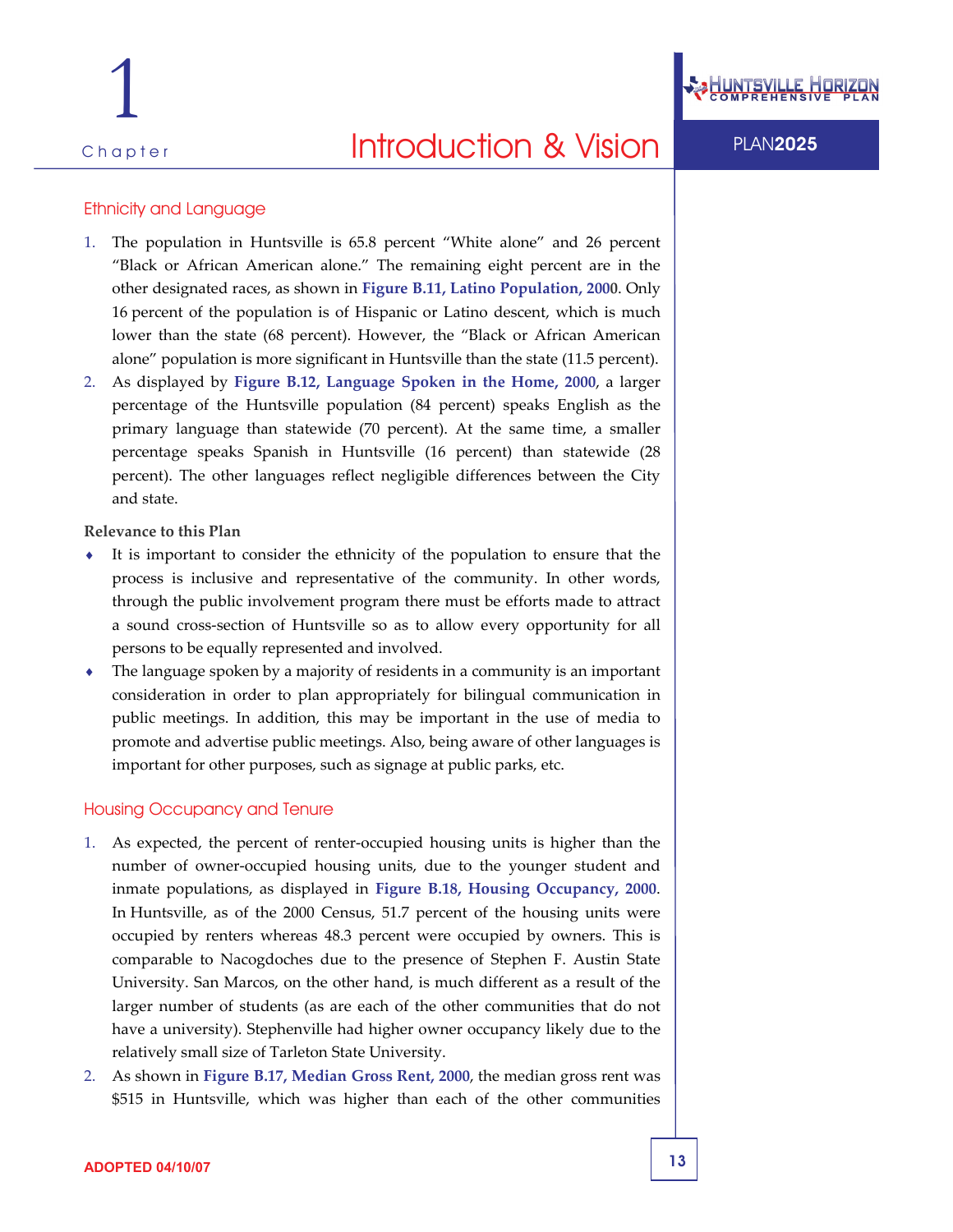

#### Ethnicity and Language

- 1. The population in Huntsville is 65.8 percent "White alone" and 26 percent "Black or African American alone." The remaining eight percent are in the other designated races, as shown in **Figure B.11, Latino Population, 2000**. Only 16 percent of the population is of Hispanic or Latino descent, which is much lower than the state (68 percent). However, the "Black or African American alone" population is more significant in Huntsville than the state (11.5 percent).
- 2. As displayed by **Figure B.12, Language Spoken in the Home, 2000**, a larger percentage of the Huntsville population (84 percent) speaks English as the primary language than statewide (70 percent). At the same time, a smaller percentage speaks Spanish in Huntsville (16 percent) than statewide (28 percent). The other languages reflect negligible differences between the City and state.

**Relevance to this Plan**

- ♦ It is important to consider the ethnicity of the population to ensure that the process is inclusive and representative of the community. In other words, through the public involvement program there must be efforts made to attract a sound cross‐section of Huntsville so as to allow every opportunity for all persons to be equally represented and involved.
- ♦ The language spoken by a majority of residents in a community is an important consideration in order to plan appropriately for bilingual communication in public meetings. In addition, this may be important in the use of media to promote and advertise public meetings. Also, being aware of other languages is important for other purposes, such as signage at public parks, etc.

#### Housing Occupancy and Tenure

- 1. As expected, the percent of renter‐occupied housing units is higher than the number of owner‐occupied housing units, due to the younger student and inmate populations, as displayed in **Figure B.18, Housing Occupancy, 2000**. In Huntsville, as of the 2000 Census, 51.7 percent of the housing units were occupied by renters whereas 48.3 percent were occupied by owners. This is comparable to Nacogdoches due to the presence of Stephen F. Austin State University. San Marcos, on the other hand, is much different as a result of the larger number of students (as are each of the other communities that do not have a university). Stephenville had higher owner occupancy likely due to the relatively small size of Tarleton State University.
- 2. As shown in **Figure B.17, Median Gross Rent, 2000**, the median gross rent was \$515 in Huntsville, which was higher than each of the other communities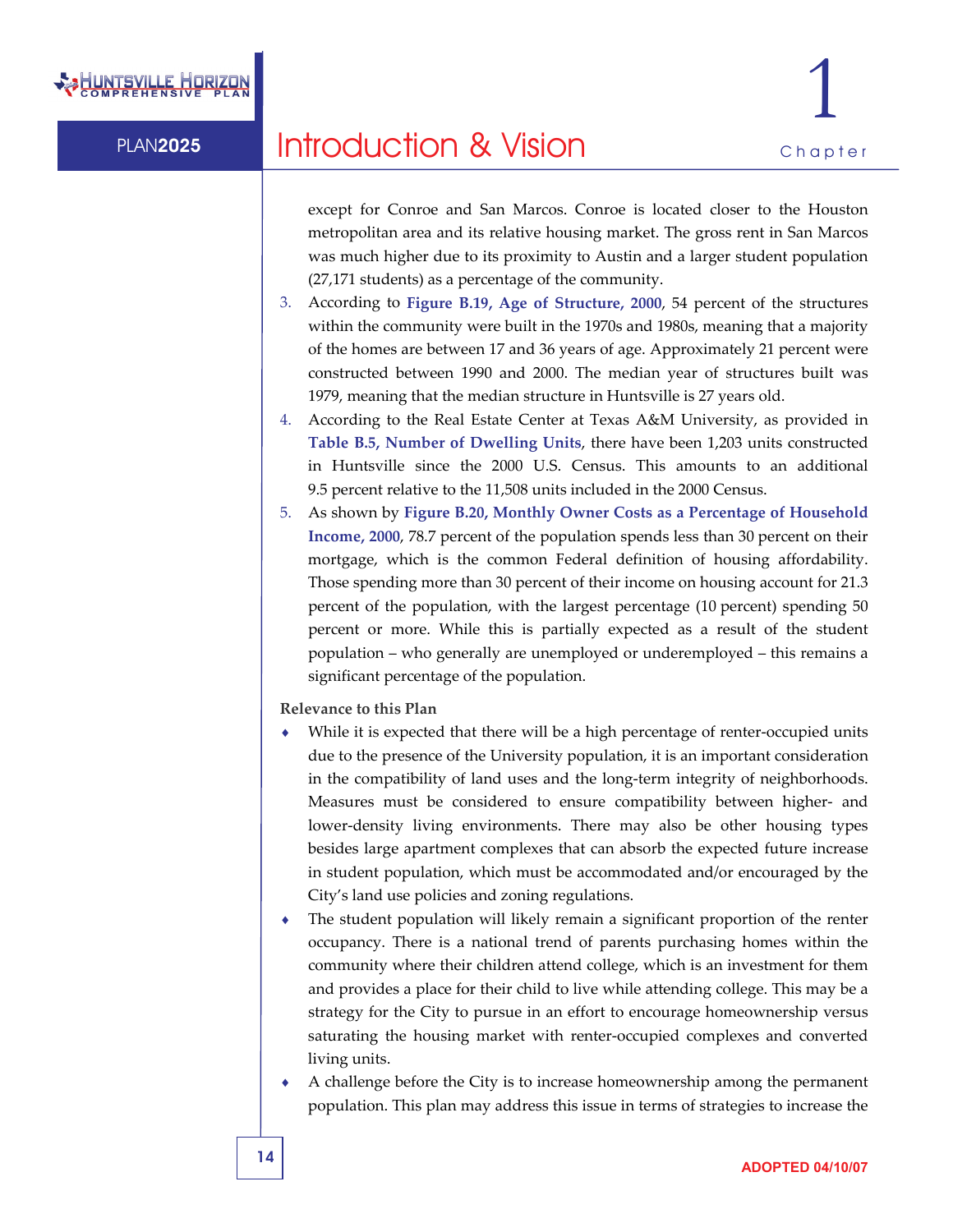

except for Conroe and San Marcos. Conroe is located closer to the Houston metropolitan area and its relative housing market. The gross rent in San Marcos was much higher due to its proximity to Austin and a larger student population (27,171 students) as a percentage of the community.

- 3. According to **Figure B.19, Age of Structure, 2000**, 54 percent of the structures within the community were built in the 1970s and 1980s, meaning that a majority of the homes are between 17 and 36 years of age. Approximately 21 percent were constructed between 1990 and 2000. The median year of structures built was 1979, meaning that the median structure in Huntsville is 27 years old.
- 4. According to the Real Estate Center at Texas A&M University, as provided in **Table B.5, Number of Dwelling Units**, there have been 1,203 units constructed in Huntsville since the 2000 U.S. Census. This amounts to an additional 9.5 percent relative to the 11,508 units included in the 2000 Census.
- 5. As shown by **Figure B.20, Monthly Owner Costs as a Percentage of Household Income, 2000**, 78.7 percent of the population spends less than 30 percent on their mortgage, which is the common Federal definition of housing affordability. Those spending more than 30 percent of their income on housing account for 21.3 percent of the population, with the largest percentage (10 percent) spending 50 percent or more. While this is partially expected as a result of the student population – who generally are unemployed or underemployed – this remains a significant percentage of the population.

#### **Relevance to this Plan**

- While it is expected that there will be a high percentage of renter-occupied units due to the presence of the University population, it is an important consideration in the compatibility of land uses and the long‐term integrity of neighborhoods. Measures must be considered to ensure compatibility between higher‐ and lower-density living environments. There may also be other housing types besides large apartment complexes that can absorb the expected future increase in student population, which must be accommodated and/or encouraged by the City's land use policies and zoning regulations.
- The student population will likely remain a significant proportion of the renter occupancy. There is a national trend of parents purchasing homes within the community where their children attend college, which is an investment for them and provides a place for their child to live while attending college. This may be a strategy for the City to pursue in an effort to encourage homeownership versus saturating the housing market with renter-occupied complexes and converted living units.
- A challenge before the City is to increase homeownership among the permanent population. This plan may address this issue in terms of strategies to increase the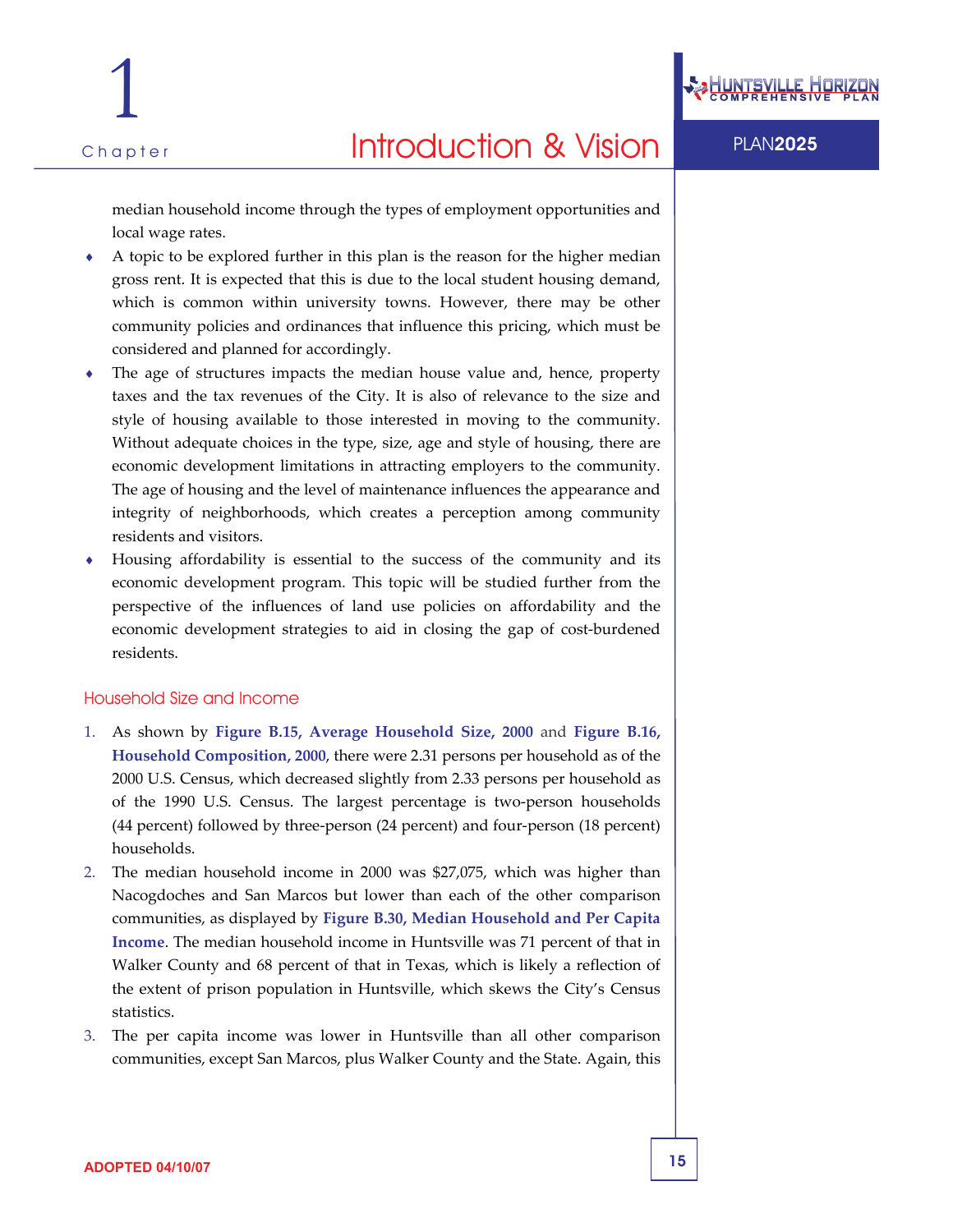

median household income through the types of employment opportunities and local wage rates.

- A topic to be explored further in this plan is the reason for the higher median gross rent. It is expected that this is due to the local student housing demand, which is common within university towns. However, there may be other community policies and ordinances that influence this pricing, which must be considered and planned for accordingly.
- The age of structures impacts the median house value and, hence, property taxes and the tax revenues of the City. It is also of relevance to the size and style of housing available to those interested in moving to the community. Without adequate choices in the type, size, age and style of housing, there are economic development limitations in attracting employers to the community. The age of housing and the level of maintenance influences the appearance and integrity of neighborhoods, which creates a perception among community residents and visitors.
- Housing affordability is essential to the success of the community and its economic development program. This topic will be studied further from the perspective of the influences of land use policies on affordability and the economic development strategies to aid in closing the gap of cost‐burdened residents.

#### Household Size and Income

- 1. As shown by **Figure B.15, Average Household Size, 2000** and **Figure B.16, Household Composition, 2000**, there were 2.31 persons per household as of the 2000 U.S. Census, which decreased slightly from 2.33 persons per household as of the 1990 U.S. Census. The largest percentage is two‐person households (44 percent) followed by three‐person (24 percent) and four‐person (18 percent) households.
- 2. The median household income in 2000 was \$27,075, which was higher than Nacogdoches and San Marcos but lower than each of the other comparison communities, as displayed by **Figure B.30, Median Household and Per Capita Income**. The median household income in Huntsville was 71 percent of that in Walker County and 68 percent of that in Texas, which is likely a reflection of the extent of prison population in Huntsville, which skews the City's Census statistics.
- 3. The per capita income was lower in Huntsville than all other comparison communities, except San Marcos, plus Walker County and the State. Again, this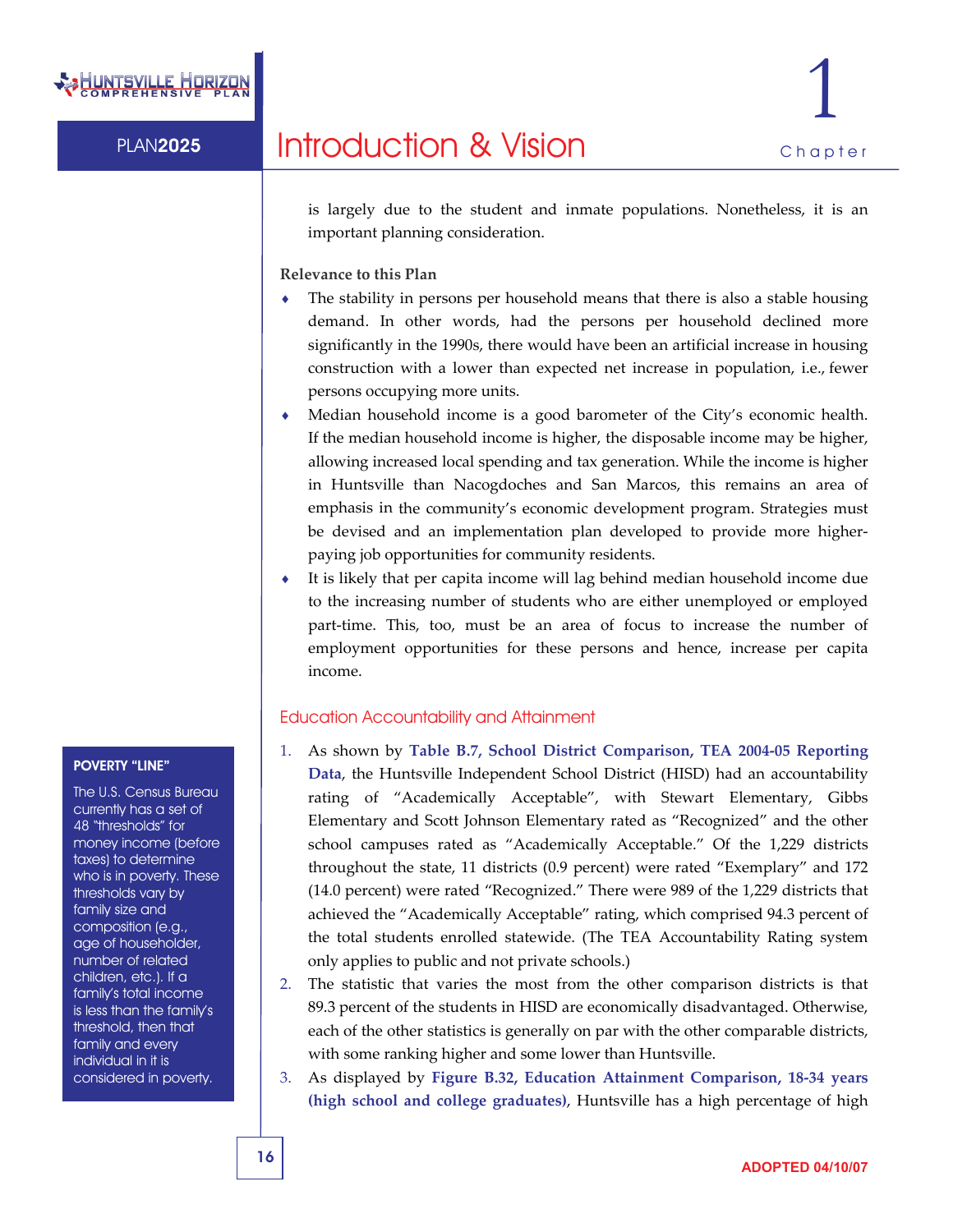

is largely due to the student and inmate populations. Nonetheless, it is an important planning consideration.

**Relevance to this Plan**

- The stability in persons per household means that there is also a stable housing demand. In other words, had the persons per household declined more significantly in the 1990s, there would have been an artificial increase in housing construction with a lower than expected net increase in population, i.e., fewer persons occupying more units.
- ♦ Median household income is a good barometer of the City's economic health. If the median household income is higher, the disposable income may be higher, allowing increased local spending and tax generation. While the income is higher in Huntsville than Nacogdoches and San Marcos, this remains an area of emphasis in the community's economic development program. Strategies must be devised and an implementation plan developed to provide more higher‐ paying job opportunities for community residents.
- It is likely that per capita income will lag behind median household income due to the increasing number of students who are either unemployed or employed part-time. This, too, must be an area of focus to increase the number of employment opportunities for these persons and hence, increase per capita income.

#### Education Accountability and Attainment

- 1. As shown by **Table B.7, School District Comparison, TEA 2004‐05 Reporting Data**, the Huntsville Independent School District (HISD) had an accountability rating of "Academically Acceptable", with Stewart Elementary, Gibbs Elementary and Scott Johnson Elementary rated as "Recognized" and the other school campuses rated as "Academically Acceptable." Of the 1,229 districts throughout the state, 11 districts (0.9 percent) were rated "Exemplary" and 172 (14.0 percent) were rated "Recognized." There were 989 of the 1,229 districts that achieved the "Academically Acceptable" rating, which comprised 94.3 percent of the total students enrolled statewide. (The TEA Accountability Rating system only applies to public and not private schools.)
- 2. The statistic that varies the most from the other comparison districts is that 89.3 percent of the students in HISD are economically disadvantaged. Otherwise, each of the other statistics is generally on par with the other comparable districts, with some ranking higher and some lower than Huntsville.
- 3. As displayed by **Figure B.32, Education Attainment Comparison, 18‐34 years (high school and college graduates)**, Huntsville has a high percentage of high

#### POVERTY "LINE"

The U.S. Census Bureau currently has a set of 48 "thresholds" for money income (before taxes) to determine who is in poverty. These thresholds vary by family size and composition (e.g., age of householder, number of related children, etc.). If a family's total income is less than the family's threshold, then that family and every individual in it is considered in poverty.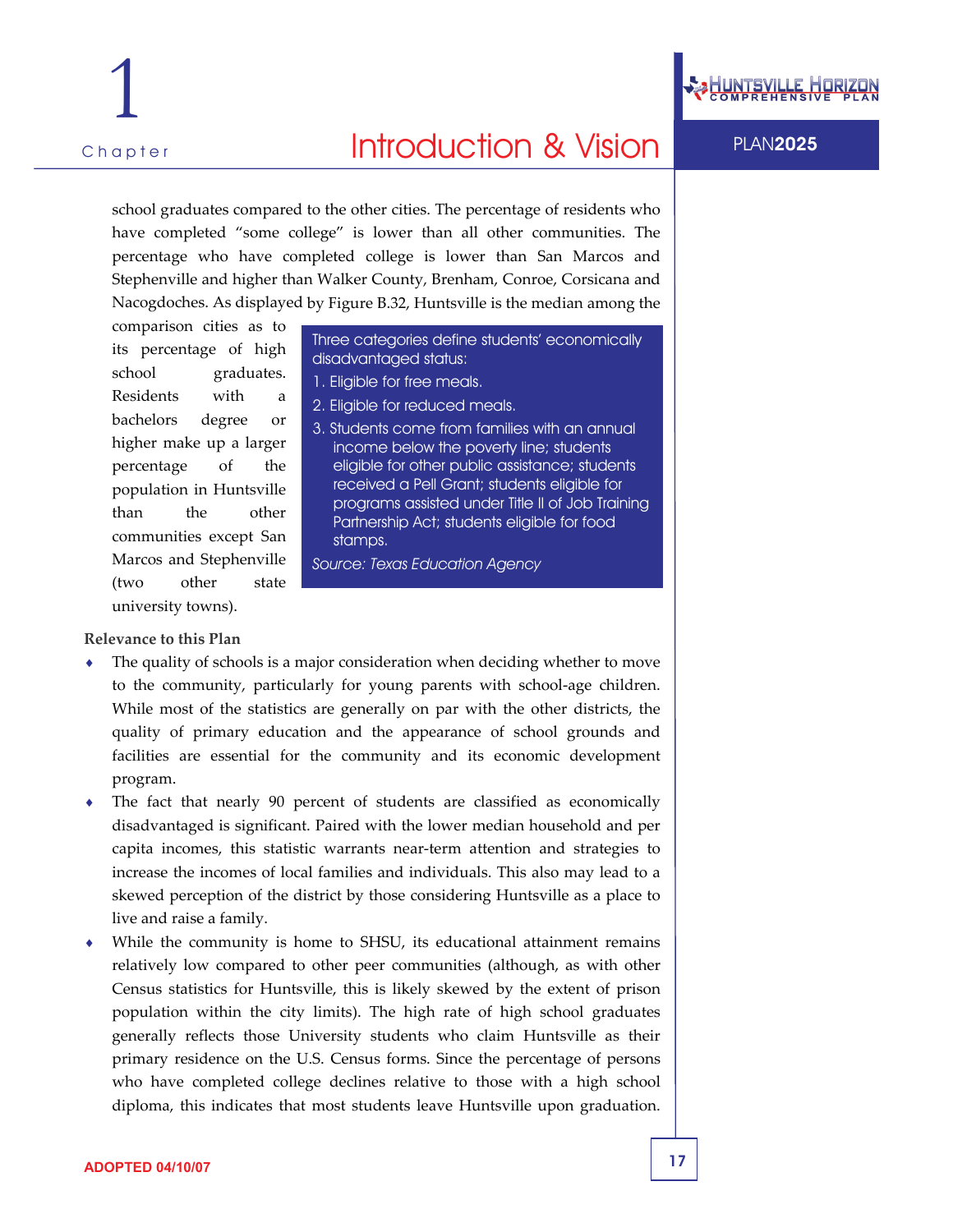

## Chapter **PLAN2025 Introduction & Vision** PLAN2025

school graduates compared to the other cities. The percentage of residents who have completed "some college" is lower than all other communities. The percentage who have completed college is lower than San Marcos and Stephenville and higher than Walker County, Brenham, Conroe, Corsicana and Nacogdoches. As displayed by Figure B.32, Huntsville is the median among the

comparison cities as to its percentage of high school graduates. Residents with a bachelors degree or higher make up a larger percentage of the population in Huntsville than the other communities except San Marcos and Stephenville (two other state university towns).

Three categories define students' economically disadvantaged status:

- 1. Eligible for free meals.
- 2. Eligible for reduced meals.
- 3. Students come from families with an annual income below the poverty line; students eligible for other public assistance; students received a Pell Grant; students eligible for programs assisted under Title II of Job Training Partnership Act; students eligible for food stamps.
- *Source: Texas Education Agency*

#### **Relevance to this Plan**

- The quality of schools is a major consideration when deciding whether to move to the community, particularly for young parents with school‐age children. While most of the statistics are generally on par with the other districts, the quality of primary education and the appearance of school grounds and facilities are essential for the community and its economic development program.
- The fact that nearly 90 percent of students are classified as economically disadvantaged is significant. Paired with the lower median household and per capita incomes, this statistic warrants near‐term attention and strategies to increase the incomes of local families and individuals. This also may lead to a skewed perception of the district by those considering Huntsville as a place to live and raise a family.
- While the community is home to SHSU, its educational attainment remains relatively low compared to other peer communities (although, as with other Census statistics for Huntsville, this is likely skewed by the extent of prison population within the city limits). The high rate of high school graduates generally reflects those University students who claim Huntsville as their primary residence on the U.S. Census forms. Since the percentage of persons who have completed college declines relative to those with a high school diploma, this indicates that most students leave Huntsville upon graduation.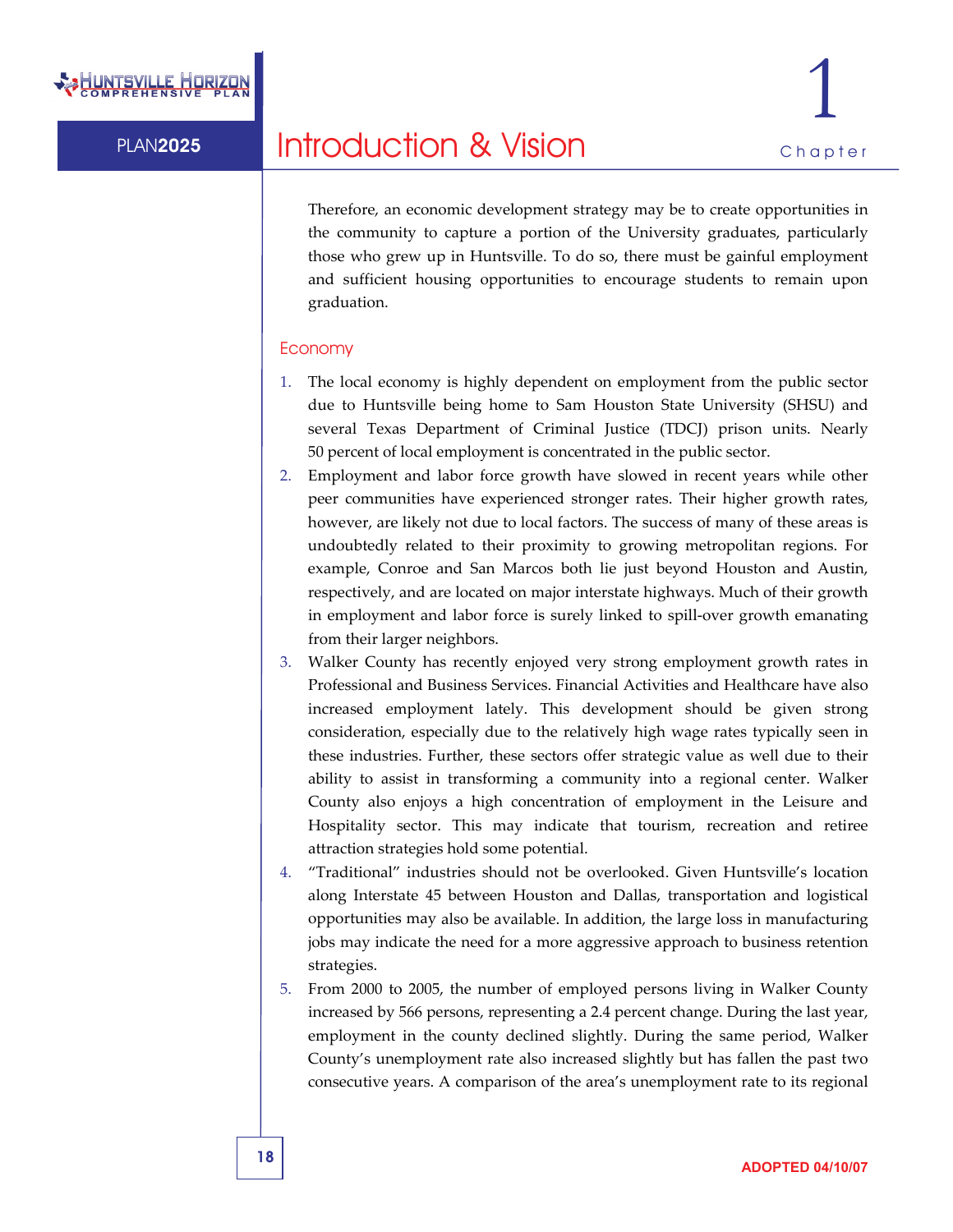Therefore, an economic development strategy may be to create opportunities in the community to capture a portion of the University graduates, particularly those who grew up in Huntsville. To do so, there must be gainful employment and sufficient housing opportunities to encourage students to remain upon graduation.

#### Economy

- 1. The local economy is highly dependent on employment from the public sector due to Huntsville being home to Sam Houston State University (SHSU) and several Texas Department of Criminal Justice (TDCJ) prison units. Nearly 50 percent of local employment is concentrated in the public sector.
- 2. Employment and labor force growth have slowed in recent years while other peer communities have experienced stronger rates. Their higher growth rates, however, are likely not due to local factors. The success of many of these areas is undoubtedly related to their proximity to growing metropolitan regions. For example, Conroe and San Marcos both lie just beyond Houston and Austin, respectively, and are located on major interstate highways. Much of their growth in employment and labor force is surely linked to spill‐over growth emanating from their larger neighbors.
- 3. Walker County has recently enjoyed very strong employment growth rates in Professional and Business Services. Financial Activities and Healthcare have also increased employment lately. This development should be given strong consideration, especially due to the relatively high wage rates typically seen in these industries. Further, these sectors offer strategic value as well due to their ability to assist in transforming a community into a regional center. Walker County also enjoys a high concentration of employment in the Leisure and Hospitality sector. This may indicate that tourism, recreation and retiree attraction strategies hold some potential.
- 4. "Traditional" industries should not be overlooked. Given Huntsville's location along Interstate 45 between Houston and Dallas, transportation and logistical opportunities may also be available. In addition, the large loss in manufacturing jobs may indicate the need for a more aggressive approach to business retention strategies.
- 5. From 2000 to 2005, the number of employed persons living in Walker County increased by 566 persons, representing a 2.4 percent change. During the last year, employment in the county declined slightly. During the same period, Walker County's unemployment rate also increased slightly but has fallen the past two consecutive years. A comparison of the area's unemployment rate to its regional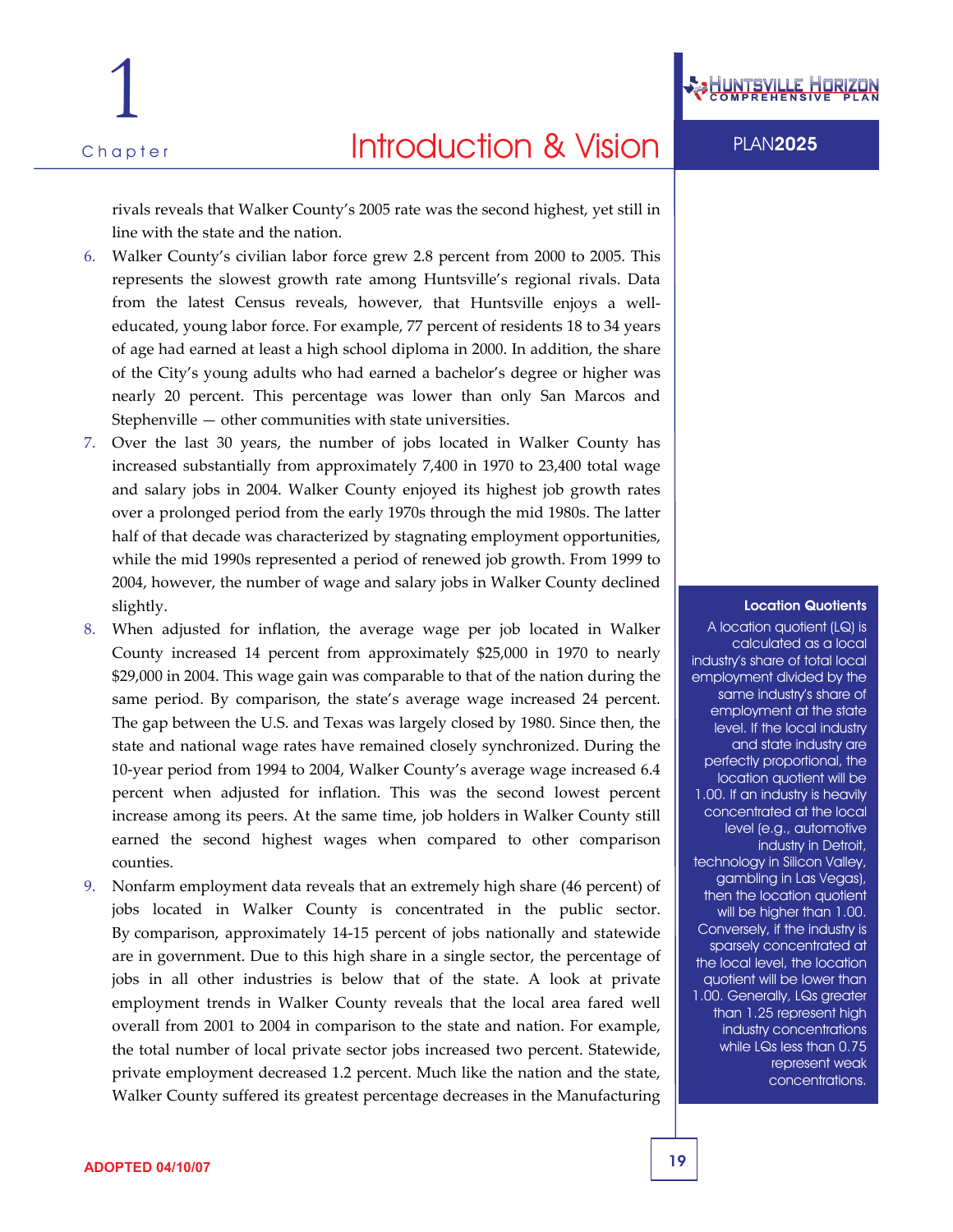rivals reveals that Walker County's 2005 rate was the second highest, yet still in line with the state and the nation.

- 6. Walker County's civilian labor force grew 2.8 percent from 2000 to 2005. This represents the slowest growth rate among Huntsville's regional rivals. Data from the latest Census reveals, however, that Huntsville enjoys a welleducated, young labor force. For example, 77 percent of residents 18 to 34 years of age had earned at least a high school diploma in 2000. In addition, the share of the City's young adults who had earned a bachelor's degree or higher was nearly 20 percent. This percentage was lower than only San Marcos and Stephenville — other communities with state universities.
- 7. Over the last 30 years, the number of jobs located in Walker County has increased substantially from approximately 7,400 in 1970 to 23,400 total wage and salary jobs in 2004. Walker County enjoyed its highest job growth rates over a prolonged period from the early 1970s through the mid 1980s. The latter half of that decade was characterized by stagnating employment opportunities, while the mid 1990s represented a period of renewed job growth. From 1999 to 2004, however, the number of wage and salary jobs in Walker County declined slightly.
- 8. When adjusted for inflation, the average wage per job located in Walker County increased 14 percent from approximately \$25,000 in 1970 to nearly \$29,000 in 2004. This wage gain was comparable to that of the nation during the same period. By comparison, the state's average wage increased 24 percent. The gap between the U.S. and Texas was largely closed by 1980. Since then, the state and national wage rates have remained closely synchronized. During the 10‐year period from 1994 to 2004, Walker County's average wage increased 6.4 percent when adjusted for inflation. This was the second lowest percent increase among its peers. At the same time, job holders in Walker County still earned the second highest wages when compared to other comparison counties.
- 9. Nonfarm employment data reveals that an extremely high share (46 percent) of jobs located in Walker County is concentrated in the public sector. By comparison, approximately 14‐15 percent of jobs nationally and statewide are in government. Due to this high share in a single sector, the percentage of jobs in all other industries is below that of the state. A look at private employment trends in Walker County reveals that the local area fared well overall from 2001 to 2004 in comparison to the state and nation. For example, the total number of local private sector jobs increased two percent. Statewide, private employment decreased 1.2 percent. Much like the nation and the state, Walker County suffered its greatest percentage decreases in the Manufacturing



#### Location Quotients

A location quotient (LQ) is calculated as a local industry's share of total local employment divided by the same industry's share of employment at the state level. If the local industry and state industry are perfectly proportional, the location quotient will be 1.00. If an industry is heavily concentrated at the local level (e.g., automotive industry in Detroit, technology in Silicon Valley, gambling in Las Vegas), then the location quotient will be higher than 1.00. Conversely, if the industry is sparsely concentrated at the local level, the location quotient will be lower than 1.00. Generally, LQs greater than 1.25 represent high industry concentrations while LQs less than 0.75 represent weak concentrations.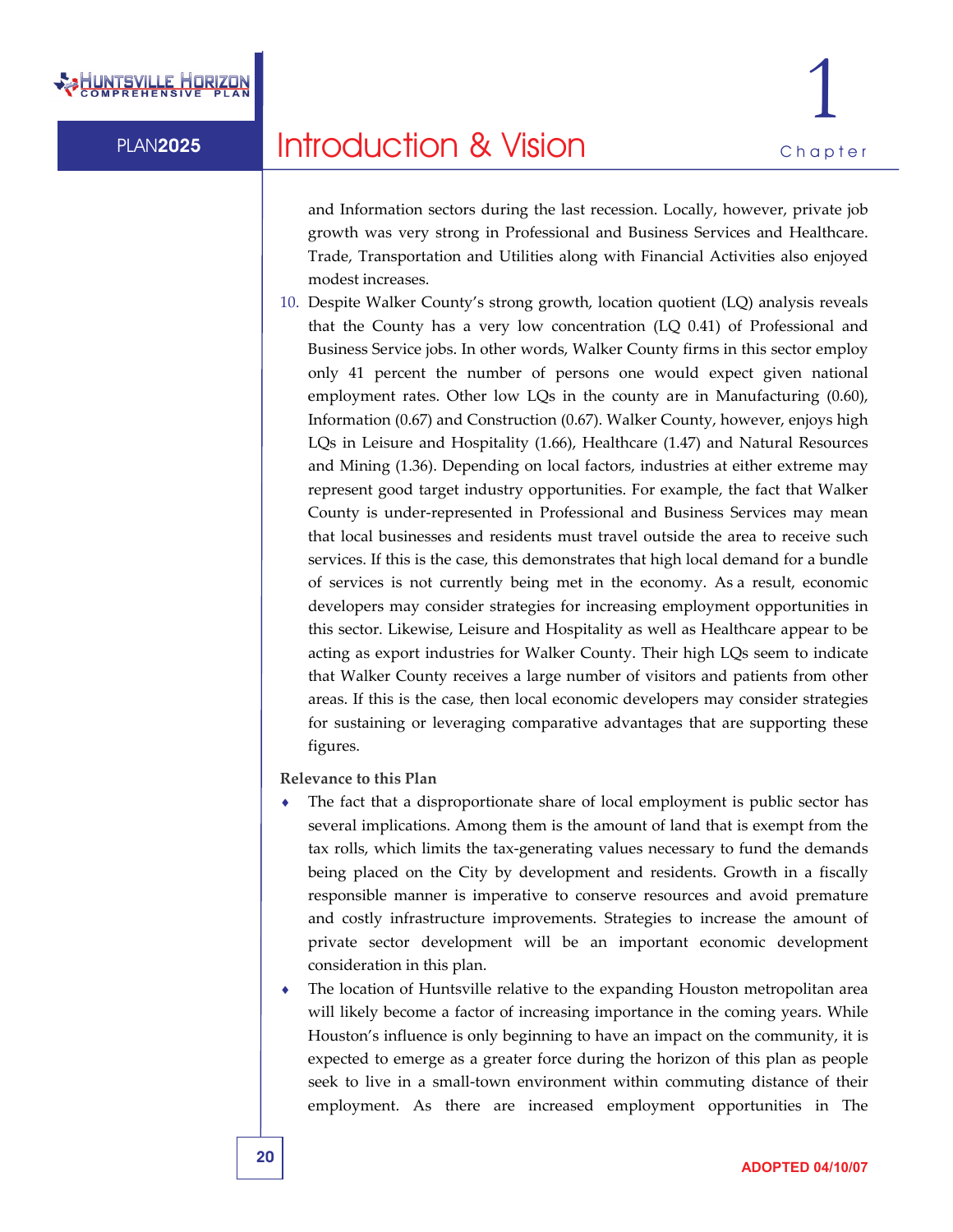

and Information sectors during the last recession. Locally, however, private job growth was very strong in Professional and Business Services and Healthcare. Trade, Transportation and Utilities along with Financial Activities also enjoyed modest increases.

10. Despite Walker County's strong growth, location quotient (LQ) analysis reveals that the County has a very low concentration (LQ 0.41) of Professional and Business Service jobs. In other words, Walker County firms in this sector employ only 41 percent the number of persons one would expect given national employment rates. Other low LQs in the county are in Manufacturing (0.60), Information (0.67) and Construction (0.67). Walker County, however, enjoys high LQs in Leisure and Hospitality (1.66), Healthcare (1.47) and Natural Resources and Mining (1.36). Depending on local factors, industries at either extreme may represent good target industry opportunities. For example, the fact that Walker County is under‐represented in Professional and Business Services may mean that local businesses and residents must travel outside the area to receive such services. If this is the case, this demonstrates that high local demand for a bundle of services is not currently being met in the economy. As a result, economic developers may consider strategies for increasing employment opportunities in this sector. Likewise, Leisure and Hospitality as well as Healthcare appear to be acting as export industries for Walker County. Their high LQs seem to indicate that Walker County receives a large number of visitors and patients from other areas. If this is the case, then local economic developers may consider strategies for sustaining or leveraging comparative advantages that are supporting these figures.

**Relevance to this Plan**

- The fact that a disproportionate share of local employment is public sector has several implications. Among them is the amount of land that is exempt from the tax rolls, which limits the tax‐generating values necessary to fund the demands being placed on the City by development and residents. Growth in a fiscally responsible manner is imperative to conserve resources and avoid premature and costly infrastructure improvements. Strategies to increase the amount of private sector development will be an important economic development consideration in this plan.
- The location of Huntsville relative to the expanding Houston metropolitan area will likely become a factor of increasing importance in the coming years. While Houston's influence is only beginning to have an impact on the community, it is expected to emerge as a greater force during the horizon of this plan as people seek to live in a small‐town environment within commuting distance of their employment. As there are increased employment opportunities in The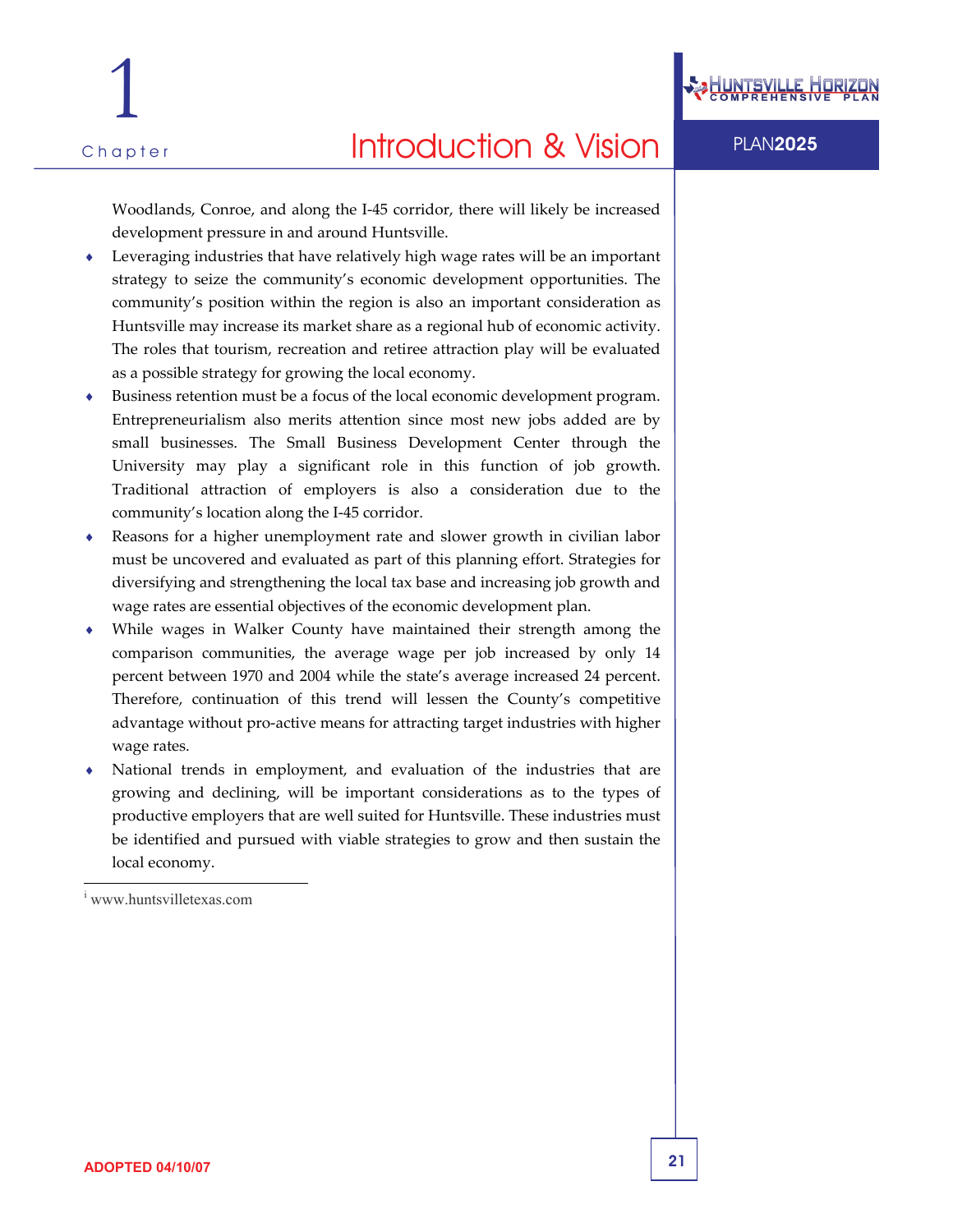

Woodlands, Conroe, and along the I‐45 corridor, there will likely be increased development pressure in and around Huntsville.

- ♦ Leveraging industries that have relatively high wage rates will be an important strategy to seize the community's economic development opportunities. The community's position within the region is also an important consideration as Huntsville may increase its market share as a regional hub of economic activity. The roles that tourism, recreation and retiree attraction play will be evaluated as a possible strategy for growing the local economy.
- Business retention must be a focus of the local economic development program. Entrepreneurialism also merits attention since most new jobs added are by small businesses. The Small Business Development Center through the University may play a significant role in this function of job growth. Traditional attraction of employers is also a consideration due to the community's location along the I‐45 corridor.
- Reasons for a higher unemployment rate and slower growth in civilian labor must be uncovered and evaluated as part of this planning effort. Strategies for diversifying and strengthening the local tax base and increasing job growth and wage rates are essential objectives of the economic development plan.
- While wages in Walker County have maintained their strength among the comparison communities, the average wage per job increased by only 14 percent between 1970 and 2004 while the state's average increased 24 percent. Therefore, continuation of this trend will lessen the County's competitive advantage without pro‐active means for attracting target industries with higher wage rates.
- National trends in employment, and evaluation of the industries that are growing and declining, will be important considerations as to the types of productive employers that are well suited for Huntsville. These industries must be identified and pursued with viable strategies to grow and then sustain the local economy.

 $\overline{a}$ 

i www.huntsvilletexas.com